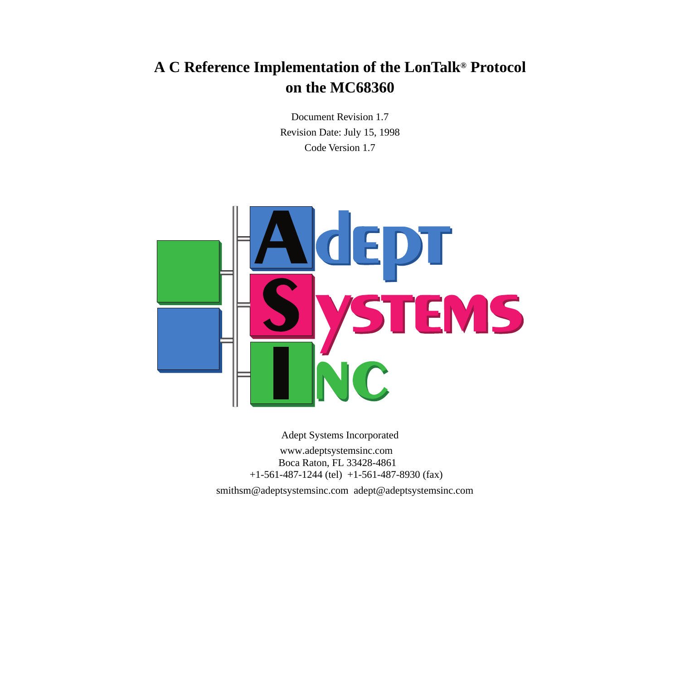# **A C Reference Implementation of the LonTalk® Protocol on the MC68360**

Document Revision 1.7 Revision Date: July 15, 1998 Code Version 1.7



Adept Systems Incorporated www.adeptsystemsinc.com Boca Raton, FL 33428-4861 +1-561-487-1244 (tel) +1-561-487-8930 (fax)

smithsm@adeptsystemsinc.com adept@adeptsystemsinc.com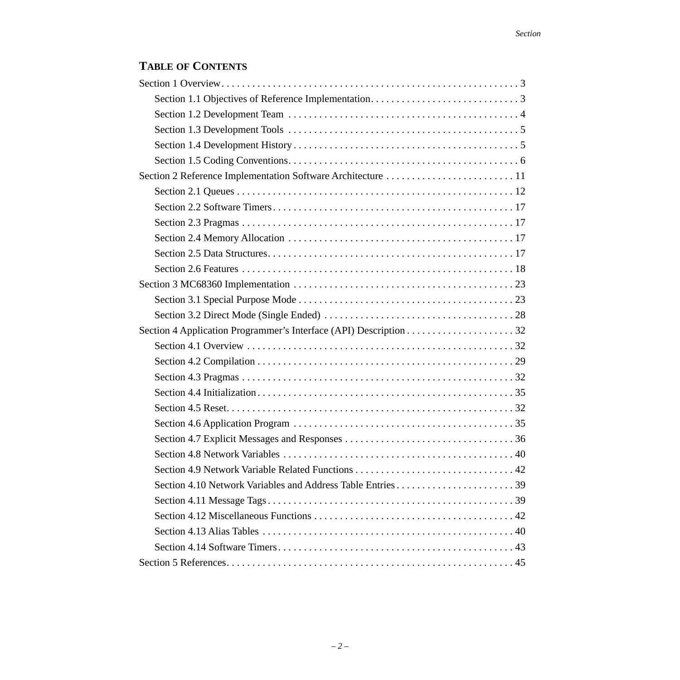# **TABLE OF CONTENTS**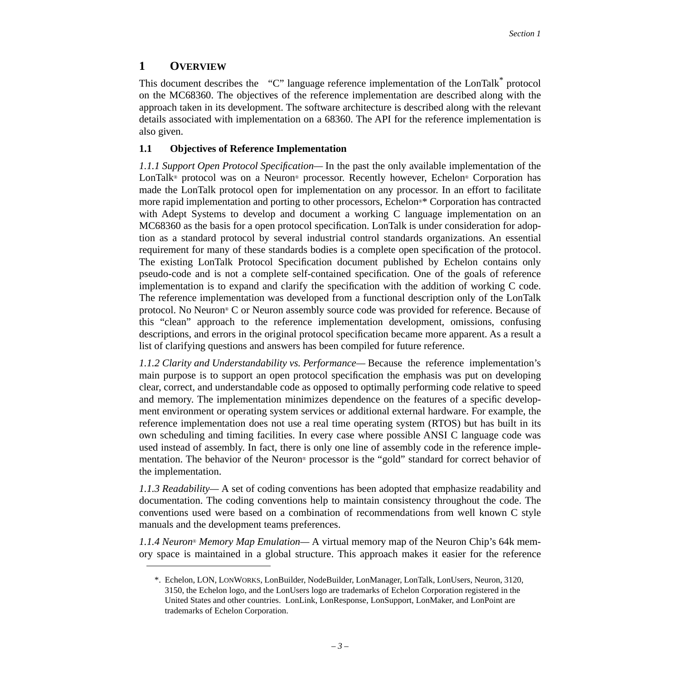# <span id="page-2-0"></span>**1 OVERVIEW**

This document describes the "C" language reference implementation of the LonTalk\* protocol on the MC68360. The objectives of the reference implementation are described along with the approach taken in its development. The software architecture is described along with the relevant details associated with implementation on a 68360. The API for the reference implementation is also given.

## <span id="page-2-1"></span>**1.1 Objectives of Reference Implementation**

*1.1.1 Support Open Protocol Specification—* In the past the only available implementation of the LonTalk® protocol was on a Neuron® processor. Recently however, Echelon® Corporation has made the LonTalk protocol open for implementation on any processor. In an effort to facilitate more rapid implementation and porting to other processors, Echelon®[\\*](#page-2-2) Corporation has contracted with Adept Systems to develop and document a working C language implementation on an MC68360 as the basis for a open protocol specification. LonTalk is under consideration for adoption as a standard protocol by several industrial control standards organizations. An essential requirement for many of these standards bodies is a complete open specification of the protocol. The existing LonTalk Protocol Specification document published by Echelon contains only pseudo-code and is not a complete self-contained specification. One of the goals of reference implementation is to expand and clarify the specification with the addition of working C code. The reference implementation was developed from a functional description only of the LonTalk protocol. No Neuron® C or Neuron assembly source code was provided for reference. Because of this "clean" approach to the reference implementation development, omissions, confusing descriptions, and errors in the original protocol specification became more apparent. As a result a list of clarifying questions and answers has been compiled for future reference.

*1.1.2 Clarity and Understandability vs. Performance—* Because the reference implementation's main purpose is to support an open protocol specification the emphasis was put on developing clear, correct, and understandable code as opposed to optimally performing code relative to speed and memory. The implementation minimizes dependence on the features of a specific development environment or operating system services or additional external hardware. For example, the reference implementation does not use a real time operating system (RTOS) but has built in its own scheduling and timing facilities. In every case where possible ANSI C language code was used instead of assembly. In fact, there is only one line of assembly code in the reference implementation. The behavior of the Neuron® processor is the "gold" standard for correct behavior of the implementation.

*1.1.3 Readability—* A set of coding conventions has been adopted that emphasize readability and documentation. The coding conventions help to maintain consistency throughout the code. The conventions used were based on a combination of recommendations from well known C style manuals and the development teams preferences.

*1.1.4 Neuron*® *Memory Map Emulation—* A virtual memory map of the Neuron Chip's 64k memory space is maintained in a global structure. This approach makes it easier for the reference

<span id="page-2-2"></span><sup>\*.</sup> Echelon, LON, LONWORKS, LonBuilder, NodeBuilder, LonManager, LonTalk, LonUsers, Neuron, 3120, 3150, the Echelon logo, and the LonUsers logo are trademarks of Echelon Corporation registered in the United States and other countries. LonLink, LonResponse, LonSupport, LonMaker, and LonPoint are trademarks of Echelon Corporation.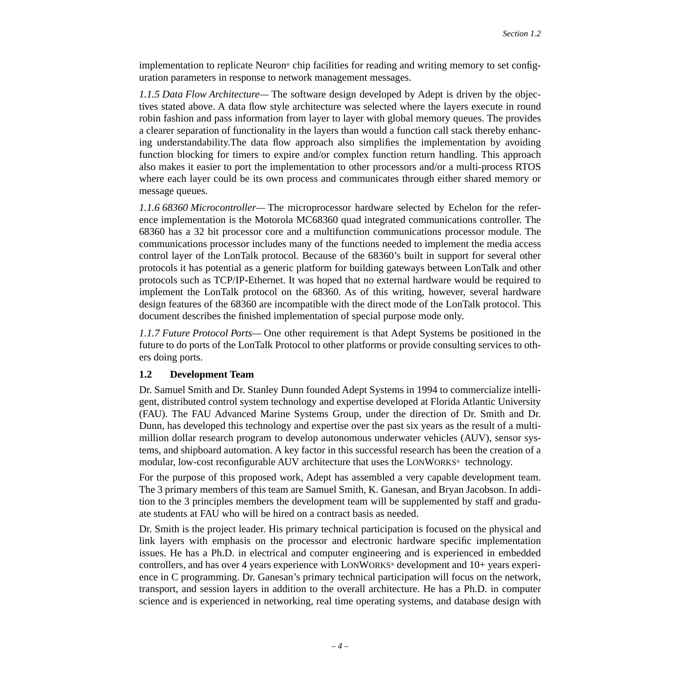implementation to replicate Neuron® chip facilities for reading and writing memory to set configuration parameters in response to network management messages.

*1.1.5 Data Flow Architecture—* The software design developed by Adept is driven by the objectives stated above. A data flow style architecture was selected where the layers execute in round robin fashion and pass information from layer to layer with global memory queues. The provides a clearer separation of functionality in the layers than would a function call stack thereby enhancing understandability.The data flow approach also simplifies the implementation by avoiding function blocking for timers to expire and/or complex function return handling. This approach also makes it easier to port the implementation to other processors and/or a multi-process RTOS where each layer could be its own process and communicates through either shared memory or message queues.

*1.1.6 68360 Microcontroller—* The microprocessor hardware selected by Echelon for the reference implementation is the Motorola MC68360 quad integrated communications controller. The 68360 has a 32 bit processor core and a multifunction communications processor module. The communications processor includes many of the functions needed to implement the media access control layer of the LonTalk protocol. Because of the 68360's built in support for several other protocols it has potential as a generic platform for building gateways between LonTalk and other protocols such as TCP/IP-Ethernet. It was hoped that no external hardware would be required to implement the LonTalk protocol on the 68360. As of this writing, however, several hardware design features of the 68360 are incompatible with the direct mode of the LonTalk protocol. This document describes the finished implementation of special purpose mode only.

*1.1.7 Future Protocol Ports—* One other requirement is that Adept Systems be positioned in the future to do ports of the LonTalk Protocol to other platforms or provide consulting services to others doing ports.

### <span id="page-3-0"></span>**1.2 Development Team**

Dr. Samuel Smith and Dr. Stanley Dunn founded Adept Systems in 1994 to commercialize intelligent, distributed control system technology and expertise developed at Florida Atlantic University (FAU). The FAU Advanced Marine Systems Group, under the direction of Dr. Smith and Dr. Dunn, has developed this technology and expertise over the past six years as the result of a multimillion dollar research program to develop autonomous underwater vehicles (AUV), sensor systems, and shipboard automation. A key factor in this successful research has been the creation of a modular, low-cost reconfigurable AUV architecture that uses the LONWORKS® technology.

For the purpose of this proposed work, Adept has assembled a very capable development team. The 3 primary members of this team are Samuel Smith, K. Ganesan, and Bryan Jacobson. In addition to the 3 principles members the development team will be supplemented by staff and graduate students at FAU who will be hired on a contract basis as needed.

Dr. Smith is the project leader. His primary technical participation is focused on the physical and link layers with emphasis on the processor and electronic hardware specific implementation issues. He has a Ph.D. in electrical and computer engineering and is experienced in embedded controllers, and has over 4 years experience with LONWORKS® development and 10+ years experience in C programming. Dr. Ganesan's primary technical participation will focus on the network, transport, and session layers in addition to the overall architecture. He has a Ph.D. in computer science and is experienced in networking, real time operating systems, and database design with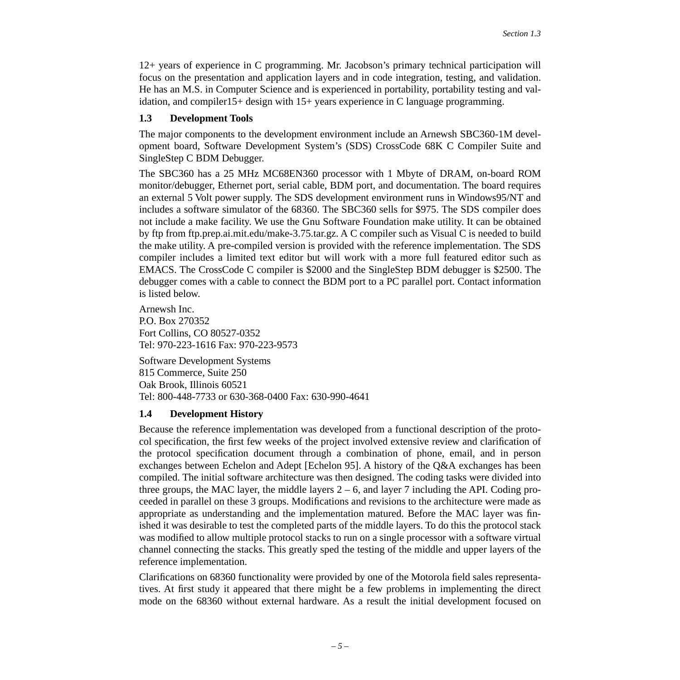12+ years of experience in C programming. Mr. Jacobson's primary technical participation will focus on the presentation and application layers and in code integration, testing, and validation. He has an M.S. in Computer Science and is experienced in portability, portability testing and validation, and compiler15+ design with 15+ years experience in C language programming.

### <span id="page-4-0"></span>**1.3 Development Tools**

The major components to the development environment include an Arnewsh SBC360-1M development board, Software Development System's (SDS) CrossCode 68K C Compiler Suite and SingleStep C BDM Debugger.

The SBC360 has a 25 MHz MC68EN360 processor with 1 Mbyte of DRAM, on-board ROM monitor/debugger, Ethernet port, serial cable, BDM port, and documentation. The board requires an external 5 Volt power supply. The SDS development environment runs in Windows95/NT and includes a software simulator of the 68360. The SBC360 sells for \$975. The SDS compiler does not include a make facility. We use the Gnu Software Foundation make utility. It can be obtained by ftp from ftp.prep.ai.mit.edu/make-3.75.tar.gz. A C compiler such as Visual C is needed to build the make utility. A pre-compiled version is provided with the reference implementation. The SDS compiler includes a limited text editor but will work with a more full featured editor such as EMACS. The CrossCode C compiler is \$2000 and the SingleStep BDM debugger is \$2500. The debugger comes with a cable to connect the BDM port to a PC parallel port. Contact information is listed below.

Arnewsh Inc. P.O. Box 270352 Fort Collins, CO 80527-0352 Tel: 970-223-1616 Fax: 970-223-9573

Software Development Systems 815 Commerce, Suite 250 Oak Brook, Illinois 60521 Tel: 800-448-7733 or 630-368-0400 Fax: 630-990-4641

## <span id="page-4-1"></span>**1.4 Development History**

Because the reference implementation was developed from a functional description of the protocol specification, the first few weeks of the project involved extensive review and clarification of the protocol specification document through a combination of phone, email, and in person exchanges between Echelon and Adept [\[Echelon 95\].](#page-44-1) A history of the Q&A exchanges has been compiled. The initial software architecture was then designed. The coding tasks were divided into three groups, the MAC layer, the middle layers  $2 - 6$ , and layer 7 including the API. Coding proceeded in parallel on these 3 groups. Modifications and revisions to the architecture were made as appropriate as understanding and the implementation matured. Before the MAC layer was finished it was desirable to test the completed parts of the middle layers. To do this the protocol stack was modified to allow multiple protocol stacks to run on a single processor with a software virtual channel connecting the stacks. This greatly sped the testing of the middle and upper layers of the reference implementation.

Clarifications on 68360 functionality were provided by one of the Motorola field sales representatives. At first study it appeared that there might be a few problems in implementing the direct mode on the 68360 without external hardware. As a result the initial development focused on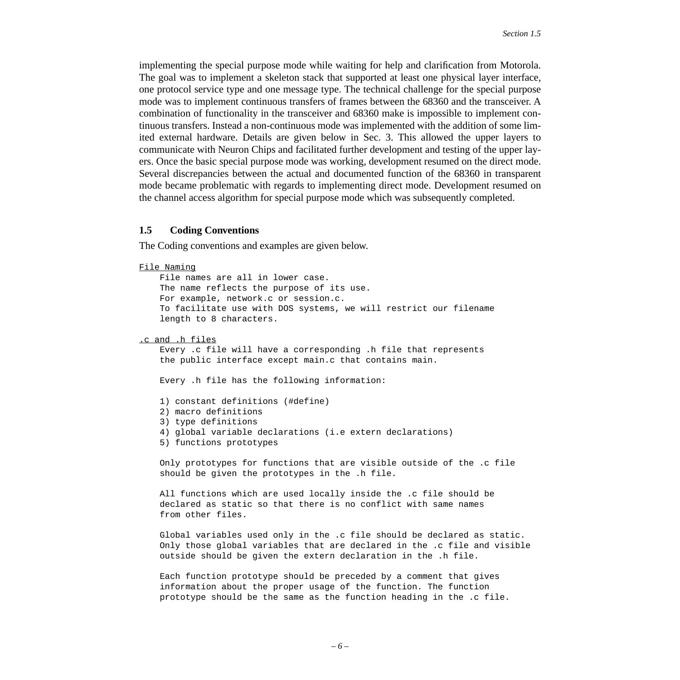implementing the special purpose mode while waiting for help and clarification from Motorola. The goal was to implement a skeleton stack that supported at least one physical layer interface, one protocol service type and one message type. The technical challenge for the special purpose mode was to implement continuous transfers of frames between the 68360 and the transceiver. A combination of functionality in the transceiver and 68360 make is impossible to implement continuous transfers. Instead a non-continuous mode was implemented with the addition of some limited external hardware. Details are given below in [Sec. 3](#page-22-0). This allowed the upper layers to communicate with Neuron Chips and facilitated further development and testing of the upper layers. Once the basic special purpose mode was working, development resumed on the direct mode. Several discrepancies between the actual and documented function of the 68360 in transparent mode became problematic with regards to implementing direct mode. Development resumed on the channel access algorithm for special purpose mode which was subsequently completed.

#### <span id="page-5-0"></span>**1.5 Coding Conventions**

The Coding conventions and examples are given below.

```
File Naming
     File names are all in lower case. 
    The name reflects the purpose of its use.
     For example, network.c or session.c.
     To facilitate use with DOS systems, we will restrict our filename
     length to 8 characters. 
.c and .h files
     Every .c file will have a corresponding .h file that represents
     the public interface except main.c that contains main.
     Every .h file has the following information:
     1) constant definitions (#define)
     2) macro definitions 
     3) type definitions
     4) global variable declarations (i.e extern declarations)
     5) functions prototypes 
     Only prototypes for functions that are visible outside of the .c file
     should be given the prototypes in the .h file. 
     All functions which are used locally inside the .c file should be
     declared as static so that there is no conflict with same names 
     from other files.
     Global variables used only in the .c file should be declared as static. 
     Only those global variables that are declared in the .c file and visible
     outside should be given the extern declaration in the .h file.
```
 Each function prototype should be preceded by a comment that gives information about the proper usage of the function. The function prototype should be the same as the function heading in the .c file.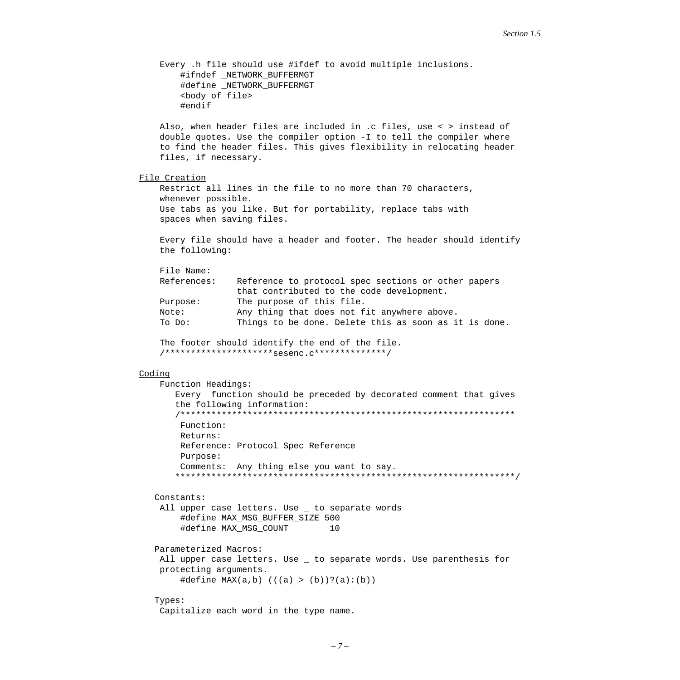Every .h file should use #ifdef to avoid multiple inclusions. #ifndef \_NETWORK\_BUFFERMGT #define \_NETWORK\_BUFFERMGT <body of file> #endif Also, when header files are included in .c files, use < > instead of double quotes. Use the compiler option -I to tell the compiler where to find the header files. This gives flexibility in relocating header files, if necessary. File Creation Restrict all lines in the file to no more than 70 characters, whenever possible. Use tabs as you like. But for portability, replace tabs with spaces when saving files. Every file should have a header and footer. The header should identify the following: File Name: References: Reference to protocol spec sections or other papers that contributed to the code development. Purpose: The purpose of this file. Note: Any thing that does not fit anywhere above. To Do: Things to be done. Delete this as soon as it is done. The footer should identify the end of the file. /\*\*\*\*\*\*\*\*\*\*\*\*\*\*\*\*\*\*\*\*\*sesenc.c\*\*\*\*\*\*\*\*\*\*\*\*\*\*/ Coding Function Headings: Every function should be preceded by decorated comment that gives the following information: /\*\*\*\*\*\*\*\*\*\*\*\*\*\*\*\*\*\*\*\*\*\*\*\*\*\*\*\*\*\*\*\*\*\*\*\*\*\*\*\*\*\*\*\*\*\*\*\*\*\*\*\*\*\*\*\*\*\*\*\*\*\*\*\*\* Function: Returns: Reference: Protocol Spec Reference Purpose: Comments: Any thing else you want to say. \*\*\*\*\*\*\*\*\*\*\*\*\*\*\*\*\*\*\*\*\*\*\*\*\*\*\*\*\*\*\*\*\*\*\*\*\*\*\*\*\*\*\*\*\*\*\*\*\*\*\*\*\*\*\*\*\*\*\*\*\*\*\*\*\*\*/ Constants: All upper case letters. Use \_ to separate words #define MAX\_MSG\_BUFFER\_SIZE 500 #define MAX\_MSG\_COUNT 10 Parameterized Macros: All upper case letters. Use \_ to separate words. Use parenthesis for protecting arguments. #define MAX(a,b) (((a) > (b))?(a):(b)) Types: Capitalize each word in the type name.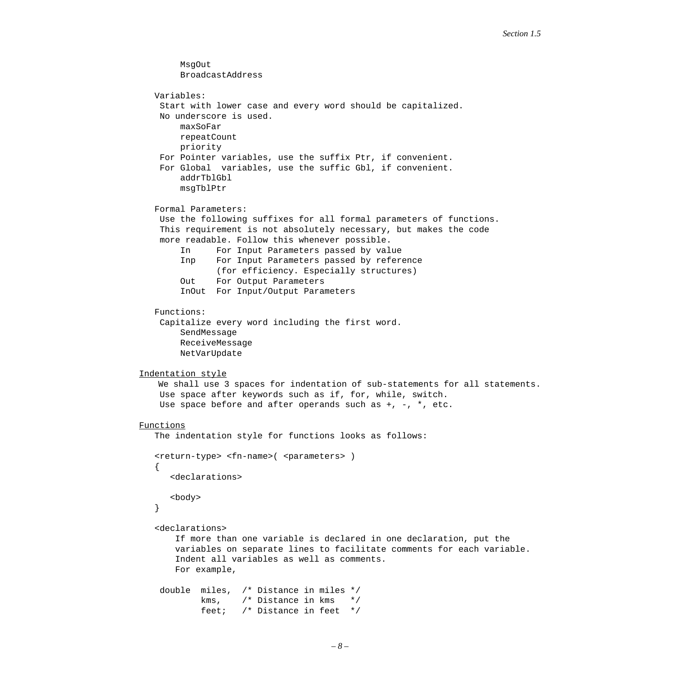```
 MsgOut 
         BroadcastAddress
    Variables:
     Start with lower case and every word should be capitalized.
     No underscore is used.
         maxSoFar
         repeatCount
         priority
     For Pointer variables, use the suffix Ptr, if convenient.
     For Global variables, use the suffic Gbl, if convenient.
         addrTblGbl
         msgTblPtr
    Formal Parameters:
     Use the following suffixes for all formal parameters of functions.
     This requirement is not absolutely necessary, but makes the code
     more readable. Follow this whenever possible.
         In For Input Parameters passed by value
         Inp For Input Parameters passed by reference
                (for efficiency. Especially structures)
         Out For Output Parameters
         InOut For Input/Output Parameters
    Functions:
     Capitalize every word including the first word. 
         SendMessage
         ReceiveMessage
         NetVarUpdate
Indentation style
    We shall use 3 spaces for indentation of sub-statements for all statements.
     Use space after keywords such as if, for, while, switch.
    Use space before and after operands such as +, -, *, etc.
Functions
    The indentation style for functions looks as follows:
   <return-type> <fn-name>( <parameters> )
    {
       <declarations>
       <body>
    }
    <declarations>
        If more than one variable is declared in one declaration, put the
        variables on separate lines to facilitate comments for each variable.
        Indent all variables as well as comments.
        For example,
     double miles, /* Distance in miles */
            kms, /* Distance in kms */ feet; /* Distance in feet */
```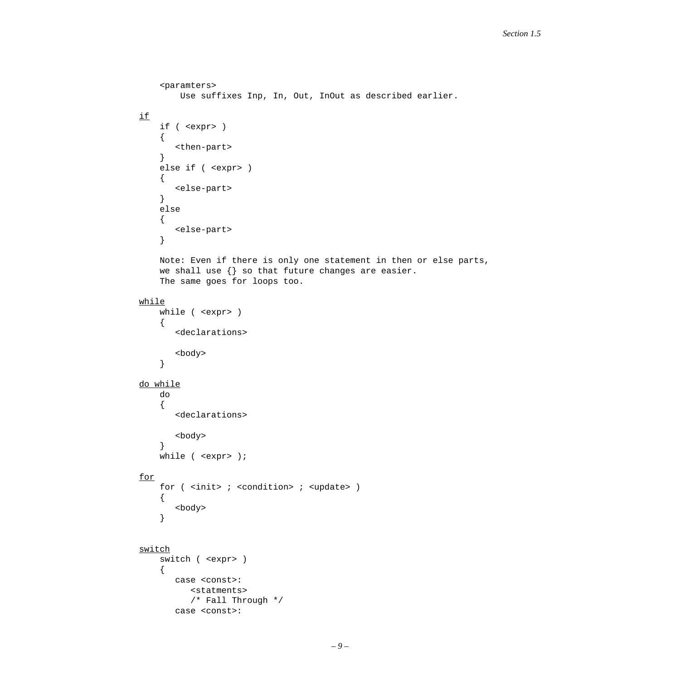```
 <paramters>
         Use suffixes Inp, In, Out, InOut as described earlier.
if
     if ( <expr> )
     {
        <then-part>
     }
     else if ( <expr> )
     {
        <else-part>
     }
     else
     {
        <else-part>
     }
     Note: Even if there is only one statement in then or else parts,
    we shall use \{\} so that future changes are easier.
     The same goes for loops too.
while
     while ( <expr> )
     {
        <declarations>
        <body>
     }
do while
     do 
     {
        <declarations>
        <body>
     }
    while ( <expr> );
for
    for ( <init> ; <condition> ; <update> )
     {
        <body>
     }
switch
     switch ( <expr> )
     {
        case <const>:
           <statments>
           /* Fall Through */
        case <const>:
```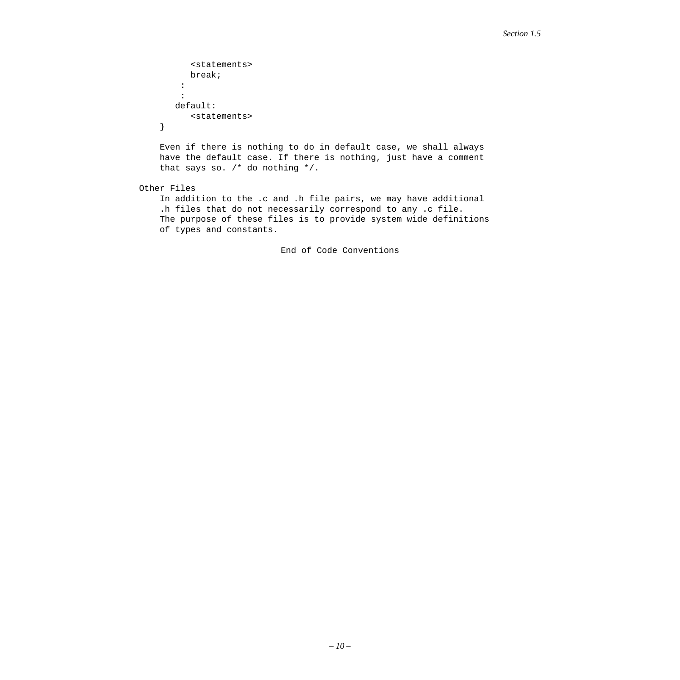```
 <statements>
    break;
  :
  :
 default:
    <statements>
```
}

 Even if there is nothing to do in default case, we shall always have the default case. If there is nothing, just have a comment that says so. /\* do nothing \*/.

#### Other Files

 In addition to the .c and .h file pairs, we may have additional .h files that do not necessarily correspond to any .c file. The purpose of these files is to provide system wide definitions of types and constants.

End of Code Conventions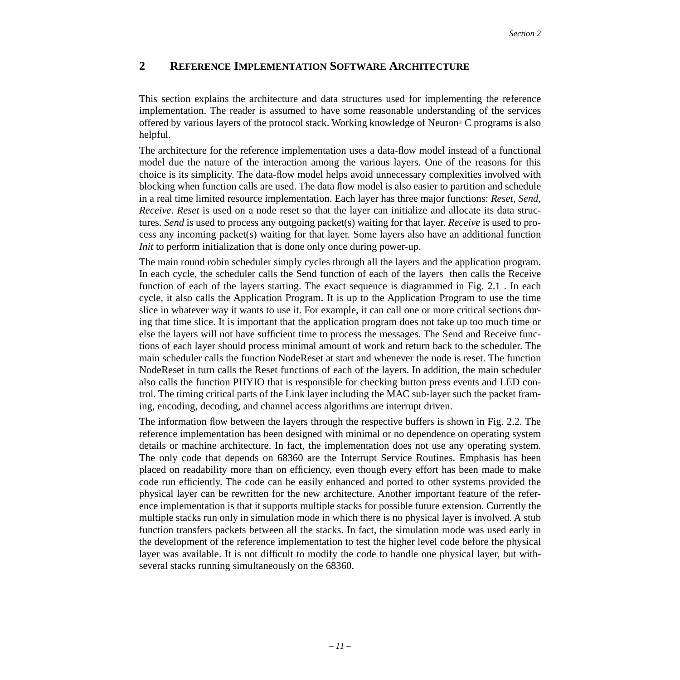# <span id="page-10-0"></span>**2 REFERENCE IMPLEMENTATION SOFTWARE ARCHITECTURE**

This section explains the architecture and data structures used for implementing the reference implementation. The reader is assumed to have some reasonable understanding of the services offered by various layers of the protocol stack. Working knowledge of Neuron® C programs is also helpful.

The architecture for the reference implementation uses a data-flow model instead of a functional model due the nature of the interaction among the various layers. One of the reasons for this choice is its simplicity. The data-flow model helps avoid unnecessary complexities involved with blocking when function calls are used. The data flow model is also easier to partition and schedule in a real time limited resource implementation. Each layer has three major functions: *Reset, Send, Receive*. *Reset* is used on a node reset so that the layer can initialize and allocate its data structures. *Send* is used to process any outgoing packet(s) waiting for that layer. *Receive* is used to process any incoming packet(s) waiting for that layer. Some layers also have an additional function *Init* to perform initialization that is done only once during power-up.

The main round robin scheduler simply cycles through all the layers and the application program. In each cycle, the scheduler calls the Send function of each of the layers then calls the Receive function of each of the layers starting. The exact sequence is diagrammed in [Fig. 2.1](#page-11-1) . In each cycle, it also calls the Application Program. It is up to the Application Program to use the time slice in whatever way it wants to use it. For example, it can call one or more critical sections during that time slice. It is important that the application program does not take up too much time or else the layers will not have sufficient time to process the messages. The Send and Receive functions of each layer should process minimal amount of work and return back to the scheduler. The main scheduler calls the function NodeReset at start and whenever the node is reset. The function NodeReset in turn calls the Reset functions of each of the layers. In addition, the main scheduler also calls the function PHYIO that is responsible for checking button press events and LED control. The timing critical parts of the Link layer including the MAC sub-layer such the packet framing, encoding, decoding, and channel access algorithms are interrupt driven.

The information flow between the layers through the respective buffers is shown in [Fig. 2.2](#page-12-0). The reference implementation has been designed with minimal or no dependence on operating system details or machine architecture. In fact, the implementation does not use any operating system. The only code that depends on 68360 are the Interrupt Service Routines. Emphasis has been placed on readability more than on efficiency, even though every effort has been made to make code run efficiently. The code can be easily enhanced and ported to other systems provided the physical layer can be rewritten for the new architecture. Another important feature of the reference implementation is that it supports multiple stacks for possible future extension. Currently the multiple stacks run only in simulation mode in which there is no physical layer is involved. A stub function transfers packets between all the stacks. In fact, the simulation mode was used early in the development of the reference implementation to test the higher level code before the physical layer was available. It is not difficult to modify the code to handle one physical layer, but withseveral stacks running simultaneously on the 68360.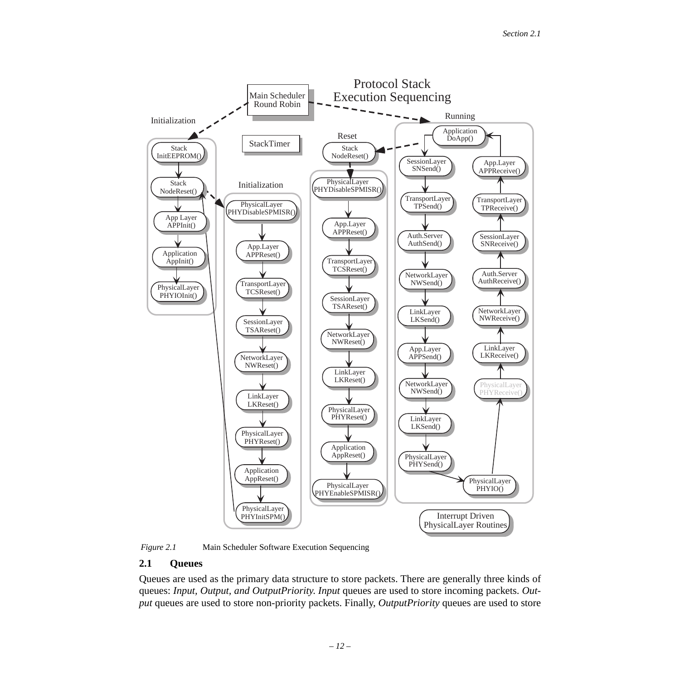

<span id="page-11-1"></span>

### <span id="page-11-0"></span>**2.1 Queues**

Queues are used as the primary data structure to store packets. There are generally three kinds of queues: *Input, Output, and OutputPriority*. *Input* queues are used to store incoming packets. *Output* queues are used to store non-priority packets. Finally, *OutputPriority* queues are used to store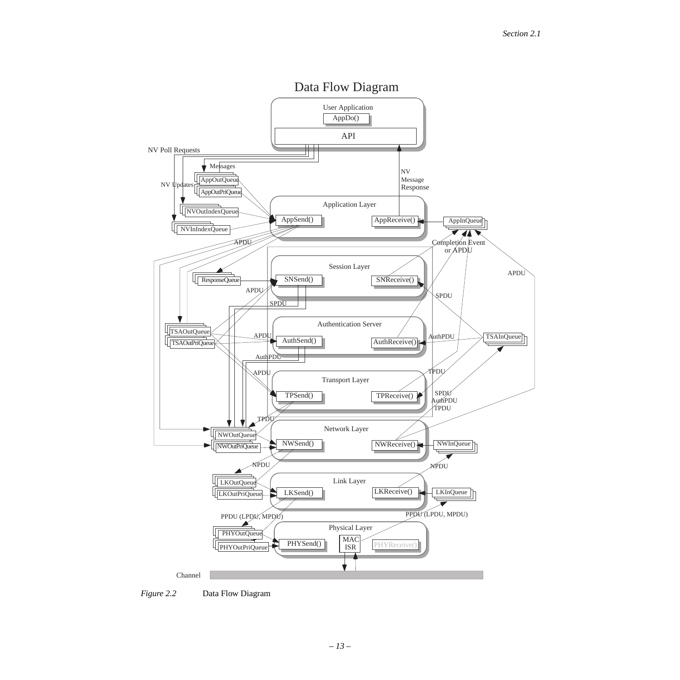

<span id="page-12-0"></span>*Figure 2.2* Data Flow Diagram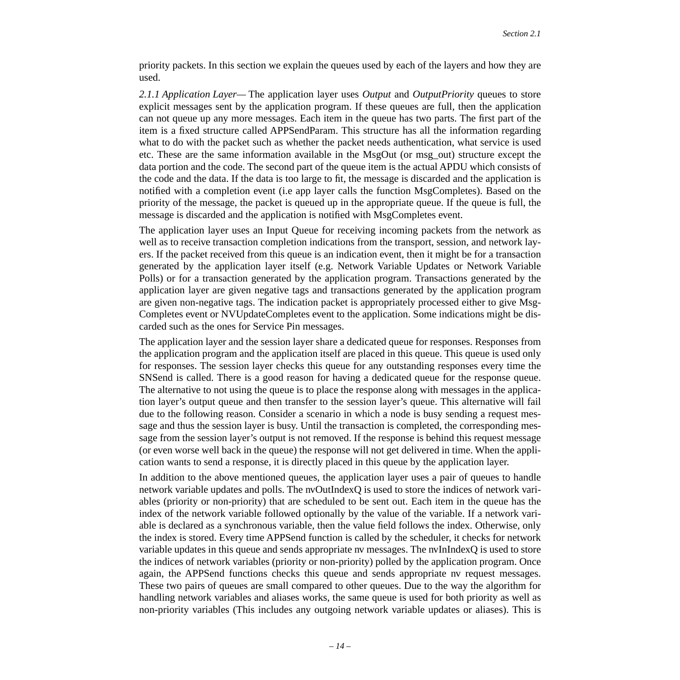priority packets. In this section we explain the queues used by each of the layers and how they are used.

*2.1.1 Application Layer—* The application layer uses *Output* and *OutputPriority* queues to store explicit messages sent by the application program. If these queues are full, then the application can not queue up any more messages. Each item in the queue has two parts. The first part of the item is a fixed structure called APPSendParam. This structure has all the information regarding what to do with the packet such as whether the packet needs authentication, what service is used etc. These are the same information available in the MsgOut (or msg\_out) structure except the data portion and the code. The second part of the queue item is the actual APDU which consists of the code and the data. If the data is too large to fit, the message is discarded and the application is notified with a completion event (i.e app layer calls the function MsgCompletes). Based on the priority of the message, the packet is queued up in the appropriate queue. If the queue is full, the message is discarded and the application is notified with MsgCompletes event.

The application layer uses an Input Queue for receiving incoming packets from the network as well as to receive transaction completion indications from the transport, session, and network layers. If the packet received from this queue is an indication event, then it might be for a transaction generated by the application layer itself (e.g. Network Variable Updates or Network Variable Polls) or for a transaction generated by the application program. Transactions generated by the application layer are given negative tags and transactions generated by the application program are given non-negative tags. The indication packet is appropriately processed either to give Msg-Completes event or NVUpdateCompletes event to the application. Some indications might be discarded such as the ones for Service Pin messages.

The application layer and the session layer share a dedicated queue for responses. Responses from the application program and the application itself are placed in this queue. This queue is used only for responses. The session layer checks this queue for any outstanding responses every time the SNSend is called. There is a good reason for having a dedicated queue for the response queue. The alternative to not using the queue is to place the response along with messages in the application layer's output queue and then transfer to the session layer's queue. This alternative will fail due to the following reason. Consider a scenario in which a node is busy sending a request message and thus the session layer is busy. Until the transaction is completed, the corresponding message from the session layer's output is not removed. If the response is behind this request message (or even worse well back in the queue) the response will not get delivered in time. When the application wants to send a response, it is directly placed in this queue by the application layer.

In addition to the above mentioned queues, the application layer uses a pair of queues to handle network variable updates and polls. The nvOutIndexQ is used to store the indices of network variables (priority or non-priority) that are scheduled to be sent out. Each item in the queue has the index of the network variable followed optionally by the value of the variable. If a network variable is declared as a synchronous variable, then the value field follows the index. Otherwise, only the index is stored. Every time APPSend function is called by the scheduler, it checks for network variable updates in this queue and sends appropriate nv messages. The nvInIndexQ is used to store the indices of network variables (priority or non-priority) polled by the application program. Once again, the APPSend functions checks this queue and sends appropriate nv request messages. These two pairs of queues are small compared to other queues. Due to the way the algorithm for handling network variables and aliases works, the same queue is used for both priority as well as non-priority variables (This includes any outgoing network variable updates or aliases). This is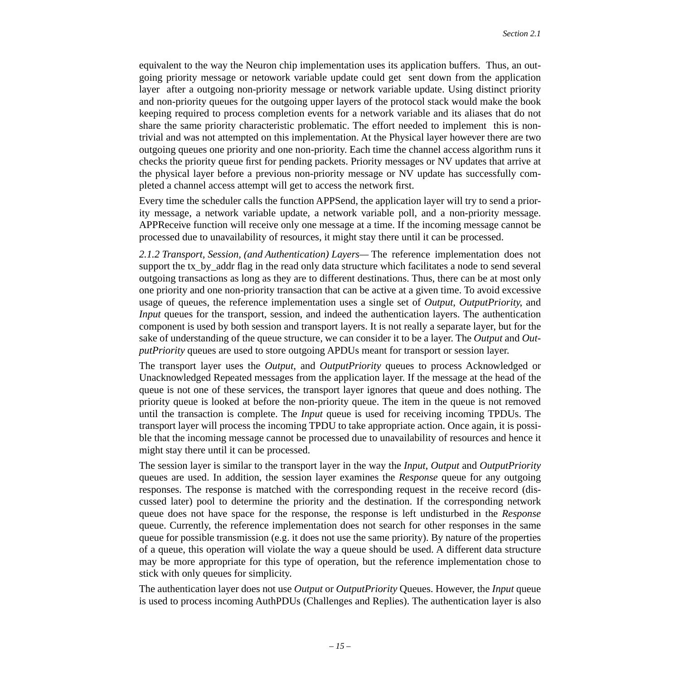equivalent to the way the Neuron chip implementation uses its application buffers. Thus, an outgoing priority message or netowork variable update could get sent down from the application layer after a outgoing non-priority message or network variable update. Using distinct priority and non-priority queues for the outgoing upper layers of the protocol stack would make the book keeping required to process completion events for a network variable and its aliases that do not share the same priority characteristic problematic. The effort needed to implement this is nontrivial and was not attempted on this implementation. At the Physical layer however there are two outgoing queues one priority and one non-priority. Each time the channel access algorithm runs it checks the priority queue first for pending packets. Priority messages or NV updates that arrive at the physical layer before a previous non-priority message or NV update has successfully completed a channel access attempt will get to access the network first.

Every time the scheduler calls the function APPSend, the application layer will try to send a priority message, a network variable update, a network variable poll, and a non-priority message. APPReceive function will receive only one message at a time. If the incoming message cannot be processed due to unavailability of resources, it might stay there until it can be processed.

*2.1.2 Transport, Session, (and Authentication) Layers—* The reference implementation does not support the tx\_by\_addr flag in the read only data structure which facilitates a node to send several outgoing transactions as long as they are to different destinations. Thus, there can be at most only one priority and one non-priority transaction that can be active at a given time. To avoid excessive usage of queues, the reference implementation uses a single set of *Output*, *OutputPriority*, and *Input* queues for the transport, session, and indeed the authentication layers. The authentication component is used by both session and transport layers. It is not really a separate layer, but for the sake of understanding of the queue structure, we can consider it to be a layer. The *Output* and *OutputPriority* queues are used to store outgoing APDUs meant for transport or session layer.

The transport layer uses the *Output*, and *OutputPriority* queues to process Acknowledged or Unacknowledged Repeated messages from the application layer. If the message at the head of the queue is not one of these services, the transport layer ignores that queue and does nothing. The priority queue is looked at before the non-priority queue. The item in the queue is not removed until the transaction is complete. The *Input* queue is used for receiving incoming TPDUs. The transport layer will process the incoming TPDU to take appropriate action. Once again, it is possible that the incoming message cannot be processed due to unavailability of resources and hence it might stay there until it can be processed.

The session layer is similar to the transport layer in the way the *Input*, *Output* and *OutputPriority* queues are used. In addition, the session layer examines the *Response* queue for any outgoing responses. The response is matched with the corresponding request in the receive record (discussed later) pool to determine the priority and the destination. If the corresponding network queue does not have space for the response, the response is left undisturbed in the *Response* queue. Currently, the reference implementation does not search for other responses in the same queue for possible transmission (e.g. it does not use the same priority). By nature of the properties of a queue, this operation will violate the way a queue should be used. A different data structure may be more appropriate for this type of operation, but the reference implementation chose to stick with only queues for simplicity.

The authentication layer does not use *Output* or *OutputPriority* Queues. However, the *Input* queue is used to process incoming AuthPDUs (Challenges and Replies). The authentication layer is also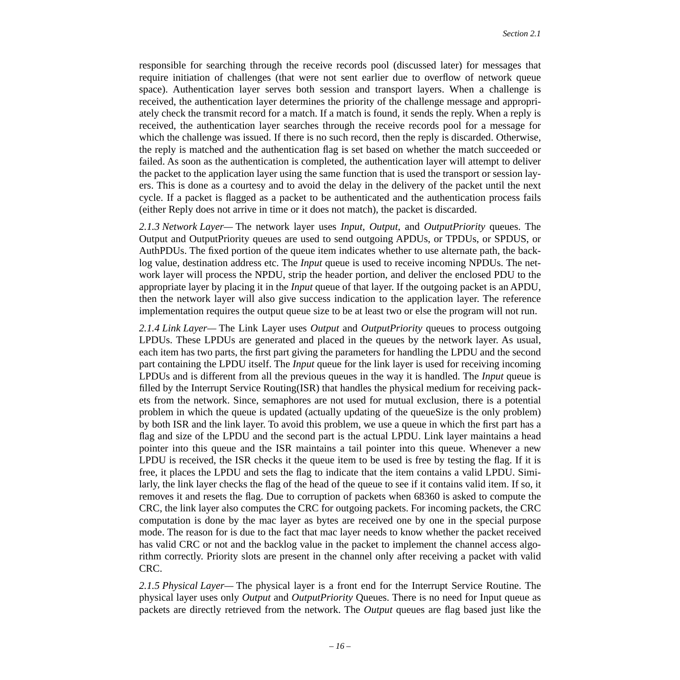responsible for searching through the receive records pool (discussed later) for messages that require initiation of challenges (that were not sent earlier due to overflow of network queue space). Authentication layer serves both session and transport layers. When a challenge is received, the authentication layer determines the priority of the challenge message and appropriately check the transmit record for a match. If a match is found, it sends the reply. When a reply is received, the authentication layer searches through the receive records pool for a message for which the challenge was issued. If there is no such record, then the reply is discarded. Otherwise, the reply is matched and the authentication flag is set based on whether the match succeeded or failed. As soon as the authentication is completed, the authentication layer will attempt to deliver the packet to the application layer using the same function that is used the transport or session layers. This is done as a courtesy and to avoid the delay in the delivery of the packet until the next cycle. If a packet is flagged as a packet to be authenticated and the authentication process fails (either Reply does not arrive in time or it does not match), the packet is discarded.

*2.1.3 Network Layer—* The network layer uses *Input*, *Output*, and *OutputPriority* queues. The Output and OutputPriority queues are used to send outgoing APDUs, or TPDUs, or SPDUS, or AuthPDUs. The fixed portion of the queue item indicates whether to use alternate path, the backlog value, destination address etc. The *Input* queue is used to receive incoming NPDUs. The network layer will process the NPDU, strip the header portion, and deliver the enclosed PDU to the appropriate layer by placing it in the *Input* queue of that layer. If the outgoing packet is an APDU, then the network layer will also give success indication to the application layer. The reference implementation requires the output queue size to be at least two or else the program will not run.

*2.1.4 Link Layer—* The Link Layer uses *Output* and *OutputPriority* queues to process outgoing LPDUs. These LPDUs are generated and placed in the queues by the network layer. As usual, each item has two parts, the first part giving the parameters for handling the LPDU and the second part containing the LPDU itself. The *Input* queue for the link layer is used for receiving incoming LPDUs and is different from all the previous queues in the way it is handled. The *Input* queue is filled by the Interrupt Service Routing(ISR) that handles the physical medium for receiving packets from the network. Since, semaphores are not used for mutual exclusion, there is a potential problem in which the queue is updated (actually updating of the queueSize is the only problem) by both ISR and the link layer. To avoid this problem, we use a queue in which the first part has a flag and size of the LPDU and the second part is the actual LPDU. Link layer maintains a head pointer into this queue and the ISR maintains a tail pointer into this queue. Whenever a new LPDU is received, the ISR checks it the queue item to be used is free by testing the flag. If it is free, it places the LPDU and sets the flag to indicate that the item contains a valid LPDU. Similarly, the link layer checks the flag of the head of the queue to see if it contains valid item. If so, it removes it and resets the flag. Due to corruption of packets when 68360 is asked to compute the CRC, the link layer also computes the CRC for outgoing packets. For incoming packets, the CRC computation is done by the mac layer as bytes are received one by one in the special purpose mode. The reason for is due to the fact that mac layer needs to know whether the packet received has valid CRC or not and the backlog value in the packet to implement the channel access algorithm correctly. Priority slots are present in the channel only after receiving a packet with valid CRC.

*2.1.5 Physical Layer—* The physical layer is a front end for the Interrupt Service Routine. The physical layer uses only *Output* and *OutputPriority* Queues. There is no need for Input queue as packets are directly retrieved from the network. The *Output* queues are flag based just like the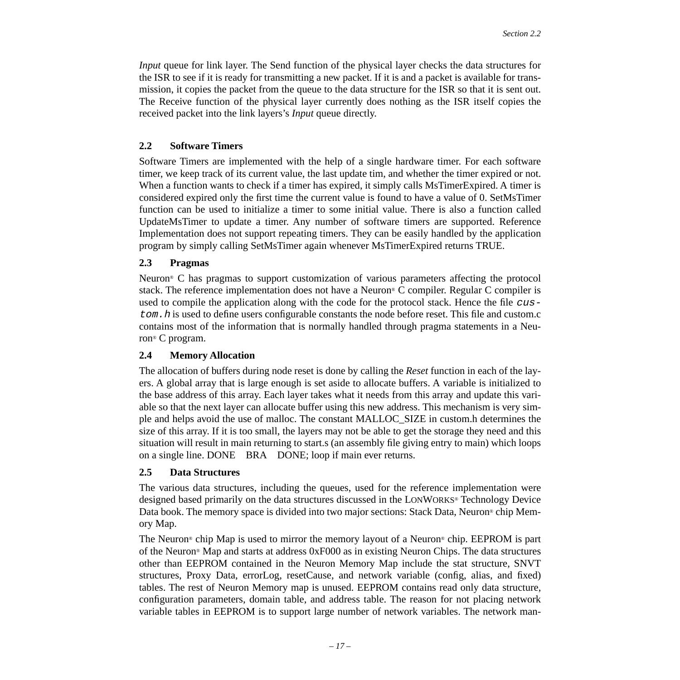*Input* queue for link layer. The Send function of the physical layer checks the data structures for the ISR to see if it is ready for transmitting a new packet. If it is and a packet is available for transmission, it copies the packet from the queue to the data structure for the ISR so that it is sent out. The Receive function of the physical layer currently does nothing as the ISR itself copies the received packet into the link layers's *Input* queue directly.

### <span id="page-16-0"></span>**2.2 Software Timers**

Software Timers are implemented with the help of a single hardware timer. For each software timer, we keep track of its current value, the last update tim, and whether the timer expired or not. When a function wants to check if a timer has expired, it simply calls MsTimerExpired. A timer is considered expired only the first time the current value is found to have a value of 0. SetMsTimer function can be used to initialize a timer to some initial value. There is also a function called UpdateMsTimer to update a timer. Any number of software timers are supported. Reference Implementation does not support repeating timers. They can be easily handled by the application program by simply calling SetMsTimer again whenever MsTimerExpired returns TRUE.

### <span id="page-16-1"></span>**2.3 Pragmas**

Neuron® C has pragmas to support customization of various parameters affecting the protocol stack. The reference implementation does not have a Neuron® C compiler. Regular C compiler is used to compile the application along with the code for the protocol stack. Hence the file custom. h is used to define users configurable constants the node before reset. This file and custom.c contains most of the information that is normally handled through pragma statements in a Neuron® C program.

### <span id="page-16-2"></span>**2.4 Memory Allocation**

The allocation of buffers during node reset is done by calling the *Reset* function in each of the layers. A global array that is large enough is set aside to allocate buffers. A variable is initialized to the base address of this array. Each layer takes what it needs from this array and update this variable so that the next layer can allocate buffer using this new address. This mechanism is very simple and helps avoid the use of malloc. The constant MALLOC\_SIZE in custom.h determines the size of this array. If it is too small, the layers may not be able to get the storage they need and this situation will result in main returning to start.s (an assembly file giving entry to main) which loops on a single line. DONE BRA DONE; loop if main ever returns.

## <span id="page-16-3"></span>**2.5 Data Structures**

The various data structures, including the queues, used for the reference implementation were designed based primarily on the data structures discussed in the LONWORKS® Technology Device Data book. The memory space is divided into two major sections: Stack Data, Neuron® chip Memory Map.

The Neuron® chip Map is used to mirror the memory layout of a Neuron® chip. EEPROM is part of the Neuron® Map and starts at address 0xF000 as in existing Neuron Chips. The data structures other than EEPROM contained in the Neuron Memory Map include the stat structure, SNVT structures, Proxy Data, errorLog, resetCause, and network variable (config, alias, and fixed) tables. The rest of Neuron Memory map is unused. EEPROM contains read only data structure, configuration parameters, domain table, and address table. The reason for not placing network variable tables in EEPROM is to support large number of network variables. The network man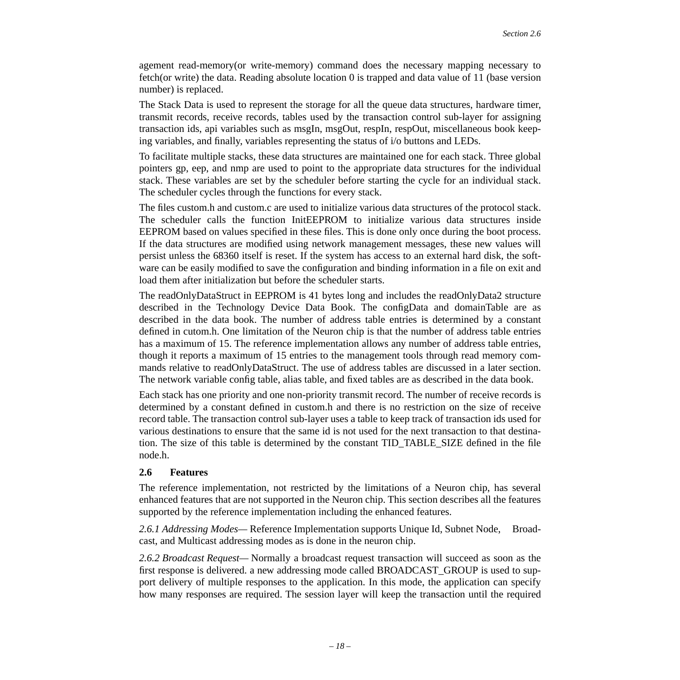agement read-memory(or write-memory) command does the necessary mapping necessary to fetch(or write) the data. Reading absolute location 0 is trapped and data value of 11 (base version number) is replaced.

The Stack Data is used to represent the storage for all the queue data structures, hardware timer, transmit records, receive records, tables used by the transaction control sub-layer for assigning transaction ids, api variables such as msgIn, msgOut, respIn, respOut, miscellaneous book keeping variables, and finally, variables representing the status of i/o buttons and LEDs.

To facilitate multiple stacks, these data structures are maintained one for each stack. Three global pointers gp, eep, and nmp are used to point to the appropriate data structures for the individual stack. These variables are set by the scheduler before starting the cycle for an individual stack. The scheduler cycles through the functions for every stack.

The files custom.h and custom.c are used to initialize various data structures of the protocol stack. The scheduler calls the function InitEEPROM to initialize various data structures inside EEPROM based on values specified in these files. This is done only once during the boot process. If the data structures are modified using network management messages, these new values will persist unless the 68360 itself is reset. If the system has access to an external hard disk, the software can be easily modified to save the configuration and binding information in a file on exit and load them after initialization but before the scheduler starts.

The readOnlyDataStruct in EEPROM is 41 bytes long and includes the readOnlyData2 structure described in the Technology Device Data Book. The configData and domainTable are as described in the data book. The number of address table entries is determined by a constant defined in cutom.h. One limitation of the Neuron chip is that the number of address table entries has a maximum of 15. The reference implementation allows any number of address table entries, though it reports a maximum of 15 entries to the management tools through read memory commands relative to readOnlyDataStruct. The use of address tables are discussed in a later section. The network variable config table, alias table, and fixed tables are as described in the data book.

Each stack has one priority and one non-priority transmit record. The number of receive records is determined by a constant defined in custom.h and there is no restriction on the size of receive record table. The transaction control sub-layer uses a table to keep track of transaction ids used for various destinations to ensure that the same id is not used for the next transaction to that destination. The size of this table is determined by the constant TID\_TABLE\_SIZE defined in the file node.h.

## <span id="page-17-0"></span>**2.6 Features**

The reference implementation, not restricted by the limitations of a Neuron chip, has several enhanced features that are not supported in the Neuron chip. This section describes all the features supported by the reference implementation including the enhanced features.

*2.6.1 Addressing Modes—* Reference Implementation supports Unique Id, Subnet Node, Broadcast, and Multicast addressing modes as is done in the neuron chip.

*2.6.2 Broadcast Request—* Normally a broadcast request transaction will succeed as soon as the first response is delivered. a new addressing mode called BROADCAST\_GROUP is used to support delivery of multiple responses to the application. In this mode, the application can specify how many responses are required. The session layer will keep the transaction until the required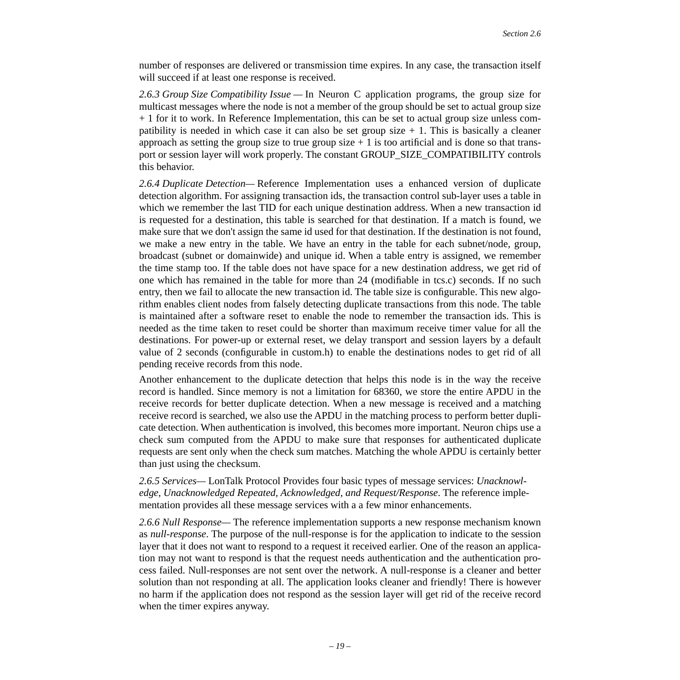number of responses are delivered or transmission time expires. In any case, the transaction itself will succeed if at least one response is received.

*2.6.3 Group Size Compatibility Issue —* In Neuron C application programs, the group size for multicast messages where the node is not a member of the group should be set to actual group size + 1 for it to work. In Reference Implementation, this can be set to actual group size unless compatibility is needed in which case it can also be set group size  $+1$ . This is basically a cleaner approach as setting the group size to true group size  $+1$  is too artificial and is done so that transport or session layer will work properly. The constant GROUP\_SIZE\_COMPATIBILITY controls this behavior.

*2.6.4 Duplicate Detection—* Reference Implementation uses a enhanced version of duplicate detection algorithm. For assigning transaction ids, the transaction control sub-layer uses a table in which we remember the last TID for each unique destination address. When a new transaction id is requested for a destination, this table is searched for that destination. If a match is found, we make sure that we don't assign the same id used for that destination. If the destination is not found, we make a new entry in the table. We have an entry in the table for each subnet/node, group, broadcast (subnet or domainwide) and unique id. When a table entry is assigned, we remember the time stamp too. If the table does not have space for a new destination address, we get rid of one which has remained in the table for more than 24 (modifiable in tcs.c) seconds. If no such entry, then we fail to allocate the new transaction id. The table size is configurable. This new algorithm enables client nodes from falsely detecting duplicate transactions from this node. The table is maintained after a software reset to enable the node to remember the transaction ids. This is needed as the time taken to reset could be shorter than maximum receive timer value for all the destinations. For power-up or external reset, we delay transport and session layers by a default value of 2 seconds (configurable in custom.h) to enable the destinations nodes to get rid of all pending receive records from this node.

Another enhancement to the duplicate detection that helps this node is in the way the receive record is handled. Since memory is not a limitation for 68360, we store the entire APDU in the receive records for better duplicate detection. When a new message is received and a matching receive record is searched, we also use the APDU in the matching process to perform better duplicate detection. When authentication is involved, this becomes more important. Neuron chips use a check sum computed from the APDU to make sure that responses for authenticated duplicate requests are sent only when the check sum matches. Matching the whole APDU is certainly better than just using the checksum.

*2.6.5 Services—* LonTalk Protocol Provides four basic types of message services: *Unacknowledge, Unacknowledged Repeated, Acknowledged, and Request/Response*. The reference implementation provides all these message services with a a few minor enhancements.

*2.6.6 Null Response—* The reference implementation supports a new response mechanism known as *null-response*. The purpose of the null-response is for the application to indicate to the session layer that it does not want to respond to a request it received earlier. One of the reason an application may not want to respond is that the request needs authentication and the authentication process failed. Null-responses are not sent over the network. A null-response is a cleaner and better solution than not responding at all. The application looks cleaner and friendly! There is however no harm if the application does not respond as the session layer will get rid of the receive record when the timer expires anyway.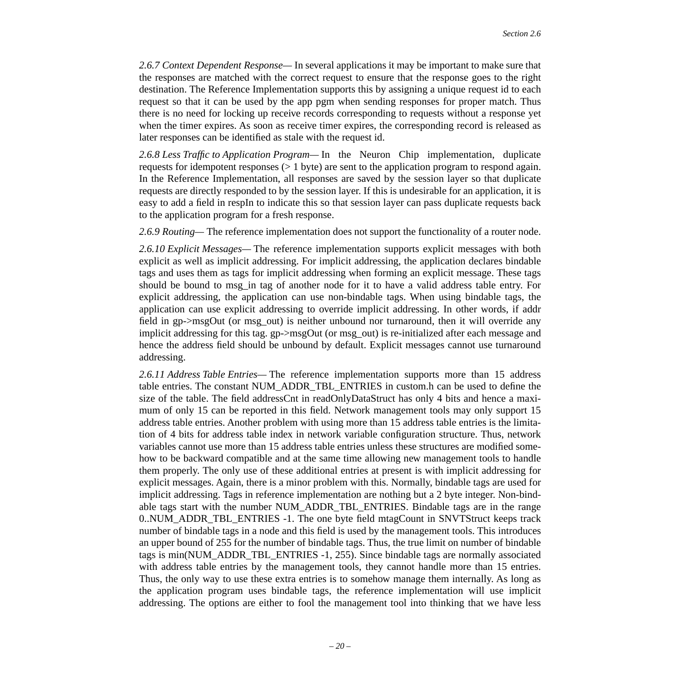*2.6.7 Context Dependent Response—* In several applications it may be important to make sure that the responses are matched with the correct request to ensure that the response goes to the right destination. The Reference Implementation supports this by assigning a unique request id to each request so that it can be used by the app pgm when sending responses for proper match. Thus there is no need for locking up receive records corresponding to requests without a response yet when the timer expires. As soon as receive timer expires, the corresponding record is released as later responses can be identified as stale with the request id.

*2.6.8 Less Traffic to Application Program—* In the Neuron Chip implementation, duplicate requests for idempotent responses (> 1 byte) are sent to the application program to respond again. In the Reference Implementation, all responses are saved by the session layer so that duplicate requests are directly responded to by the session layer. If this is undesirable for an application, it is easy to add a field in respIn to indicate this so that session layer can pass duplicate requests back to the application program for a fresh response.

*2.6.9 Routing—* The reference implementation does not support the functionality of a router node.

*2.6.10 Explicit Messages—* The reference implementation supports explicit messages with both explicit as well as implicit addressing. For implicit addressing, the application declares bindable tags and uses them as tags for implicit addressing when forming an explicit message. These tags should be bound to msg\_in tag of another node for it to have a valid address table entry. For explicit addressing, the application can use non-bindable tags. When using bindable tags, the application can use explicit addressing to override implicit addressing. In other words, if addr field in gp->msgOut (or msg\_out) is neither unbound nor turnaround, then it will override any implicit addressing for this tag. gp->msgOut (or msg\_out) is re-initialized after each message and hence the address field should be unbound by default. Explicit messages cannot use turnaround addressing.

<span id="page-19-0"></span>*2.6.11 Address Table Entries—* The reference implementation supports more than 15 address table entries. The constant NUM\_ADDR\_TBL\_ENTRIES in custom.h can be used to define the size of the table. The field addressCnt in readOnlyDataStruct has only 4 bits and hence a maximum of only 15 can be reported in this field. Network management tools may only support 15 address table entries. Another problem with using more than 15 address table entries is the limitation of 4 bits for address table index in network variable configuration structure. Thus, network variables cannot use more than 15 address table entries unless these structures are modified somehow to be backward compatible and at the same time allowing new management tools to handle them properly. The only use of these additional entries at present is with implicit addressing for explicit messages. Again, there is a minor problem with this. Normally, bindable tags are used for implicit addressing. Tags in reference implementation are nothing but a 2 byte integer. Non-bindable tags start with the number NUM\_ADDR\_TBL\_ENTRIES. Bindable tags are in the range 0..NUM\_ADDR\_TBL\_ENTRIES -1. The one byte field mtagCount in SNVTStruct keeps track number of bindable tags in a node and this field is used by the management tools. This introduces an upper bound of 255 for the number of bindable tags. Thus, the true limit on number of bindable tags is min(NUM\_ADDR\_TBL\_ENTRIES -1, 255). Since bindable tags are normally associated with address table entries by the management tools, they cannot handle more than 15 entries. Thus, the only way to use these extra entries is to somehow manage them internally. As long as the application program uses bindable tags, the reference implementation will use implicit addressing. The options are either to fool the management tool into thinking that we have less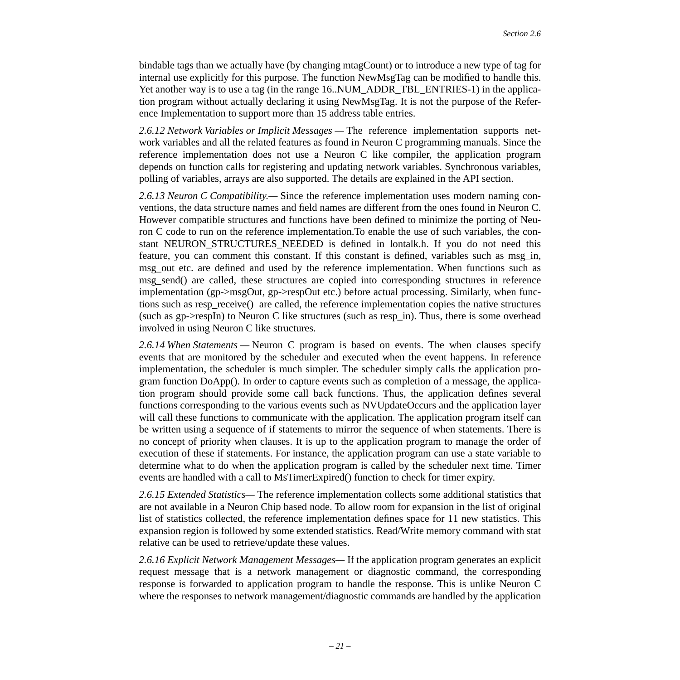bindable tags than we actually have (by changing mtagCount) or to introduce a new type of tag for internal use explicitly for this purpose. The function NewMsgTag can be modified to handle this. Yet another way is to use a tag (in the range 16..NUM\_ADDR\_TBL\_ENTRIES-1) in the application program without actually declaring it using NewMsgTag. It is not the purpose of the Reference Implementation to support more than 15 address table entries.

*2.6.12 Network Variables or Implicit Messages —* The reference implementation supports network variables and all the related features as found in Neuron C programming manuals. Since the reference implementation does not use a Neuron C like compiler, the application program depends on function calls for registering and updating network variables. Synchronous variables, polling of variables, arrays are also supported. The details are explained in the API section.

*2.6.13 Neuron C Compatibility.—* Since the reference implementation uses modern naming conventions, the data structure names and field names are different from the ones found in Neuron C. However compatible structures and functions have been defined to minimize the porting of Neuron C code to run on the reference implementation.To enable the use of such variables, the constant NEURON STRUCTURES NEEDED is defined in lontalk.h. If you do not need this feature, you can comment this constant. If this constant is defined, variables such as msg\_in, msg\_out etc. are defined and used by the reference implementation. When functions such as msg send() are called, these structures are copied into corresponding structures in reference implementation (gp->msgOut, gp->respOut etc.) before actual processing. Similarly, when functions such as resp\_receive() are called, the reference implementation copies the native structures (such as gp->respIn) to Neuron C like structures (such as resp\_in). Thus, there is some overhead involved in using Neuron C like structures.

*2.6.14 When Statements —* Neuron C program is based on events. The when clauses specify events that are monitored by the scheduler and executed when the event happens. In reference implementation, the scheduler is much simpler. The scheduler simply calls the application program function DoApp(). In order to capture events such as completion of a message, the application program should provide some call back functions. Thus, the application defines several functions corresponding to the various events such as NVUpdateOccurs and the application layer will call these functions to communicate with the application. The application program itself can be written using a sequence of if statements to mirror the sequence of when statements. There is no concept of priority when clauses. It is up to the application program to manage the order of execution of these if statements. For instance, the application program can use a state variable to determine what to do when the application program is called by the scheduler next time. Timer events are handled with a call to MsTimerExpired() function to check for timer expiry.

*2.6.15 Extended Statistics—* The reference implementation collects some additional statistics that are not available in a Neuron Chip based node. To allow room for expansion in the list of original list of statistics collected, the reference implementation defines space for 11 new statistics. This expansion region is followed by some extended statistics. Read/Write memory command with stat relative can be used to retrieve/update these values.

*2.6.16 Explicit Network Management Messages—* If the application program generates an explicit request message that is a network management or diagnostic command, the corresponding response is forwarded to application program to handle the response. This is unlike Neuron C where the responses to network management/diagnostic commands are handled by the application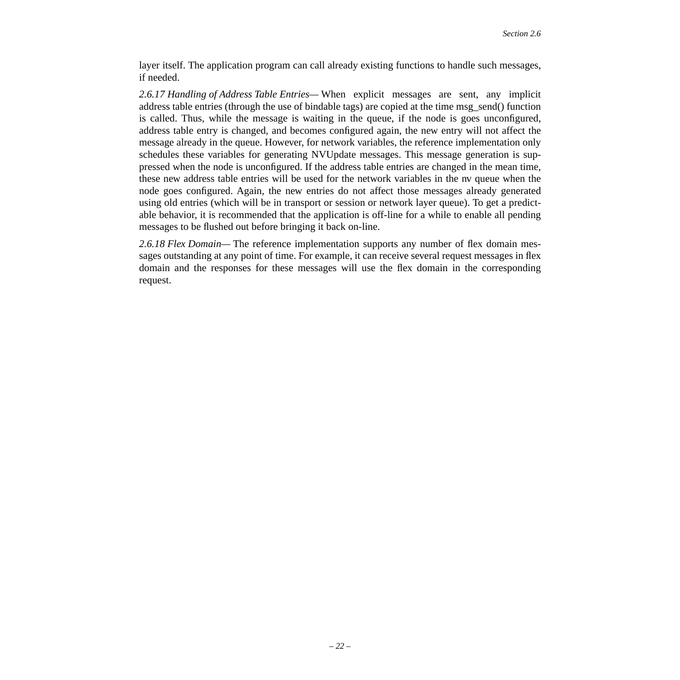layer itself. The application program can call already existing functions to handle such messages, if needed.

*2.6.17 Handling of Address Table Entries—* When explicit messages are sent, any implicit address table entries (through the use of bindable tags) are copied at the time msg\_send() function is called. Thus, while the message is waiting in the queue, if the node is goes unconfigured, address table entry is changed, and becomes configured again, the new entry will not affect the message already in the queue. However, for network variables, the reference implementation only schedules these variables for generating NVUpdate messages. This message generation is suppressed when the node is unconfigured. If the address table entries are changed in the mean time, these new address table entries will be used for the network variables in the nv queue when the node goes configured. Again, the new entries do not affect those messages already generated using old entries (which will be in transport or session or network layer queue). To get a predictable behavior, it is recommended that the application is off-line for a while to enable all pending messages to be flushed out before bringing it back on-line.

*2.6.18 Flex Domain—* The reference implementation supports any number of flex domain messages outstanding at any point of time. For example, it can receive several request messages in flex domain and the responses for these messages will use the flex domain in the corresponding request.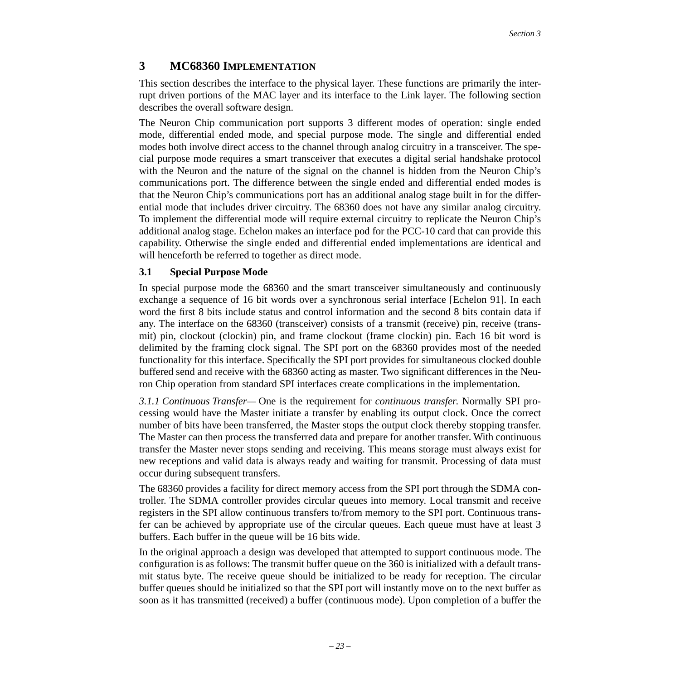# <span id="page-22-0"></span>**3 MC68360 IMPLEMENTATION**

This section describes the interface to the physical layer. These functions are primarily the interrupt driven portions of the MAC layer and its interface to the Link layer. The following section describes the overall software design.

The Neuron Chip communication port supports 3 different modes of operation: single ended mode, differential ended mode, and special purpose mode. The single and differential ended modes both involve direct access to the channel through analog circuitry in a transceiver. The special purpose mode requires a smart transceiver that executes a digital serial handshake protocol with the Neuron and the nature of the signal on the channel is hidden from the Neuron Chip's communications port. The difference between the single ended and differential ended modes is that the Neuron Chip's communications port has an additional analog stage built in for the differential mode that includes driver circuitry. The 68360 does not have any similar analog circuitry. To implement the differential mode will require external circuitry to replicate the Neuron Chip's additional analog stage. Echelon makes an interface pod for the PCC-10 card that can provide this capability. Otherwise the single ended and differential ended implementations are identical and will henceforth be referred to together as direct mode.

### <span id="page-22-1"></span>**3.1 Special Purpose Mode**

In special purpose mode the 68360 and the smart transceiver simultaneously and continuously exchange a sequence of 16 bit words over a synchronous serial interface [\[Echelon 91\]](#page-44-2). In each word the first 8 bits include status and control information and the second 8 bits contain data if any. The interface on the 68360 (transceiver) consists of a transmit (receive) pin, receive (transmit) pin, clockout (clockin) pin, and frame clockout (frame clockin) pin. Each 16 bit word is delimited by the framing clock signal. The SPI port on the 68360 provides most of the needed functionality for this interface. Specifically the SPI port provides for simultaneous clocked double buffered send and receive with the 68360 acting as master. Two significant differences in the Neuron Chip operation from standard SPI interfaces create complications in the implementation.

*3.1.1 Continuous Transfer—* One is the requirement for *continuous transfer*. Normally SPI processing would have the Master initiate a transfer by enabling its output clock. Once the correct number of bits have been transferred, the Master stops the output clock thereby stopping transfer. The Master can then process the transferred data and prepare for another transfer. With continuous transfer the Master never stops sending and receiving. This means storage must always exist for new receptions and valid data is always ready and waiting for transmit. Processing of data must occur during subsequent transfers.

The 68360 provides a facility for direct memory access from the SPI port through the SDMA controller. The SDMA controller provides circular queues into memory. Local transmit and receive registers in the SPI allow continuous transfers to/from memory to the SPI port. Continuous transfer can be achieved by appropriate use of the circular queues. Each queue must have at least 3 buffers. Each buffer in the queue will be 16 bits wide.

In the original approach a design was developed that attempted to support continuous mode. The configuration is as follows: The transmit buffer queue on the 360 is initialized with a default transmit status byte. The receive queue should be initialized to be ready for reception. The circular buffer queues should be initialized so that the SPI port will instantly move on to the next buffer as soon as it has transmitted (received) a buffer (continuous mode). Upon completion of a buffer the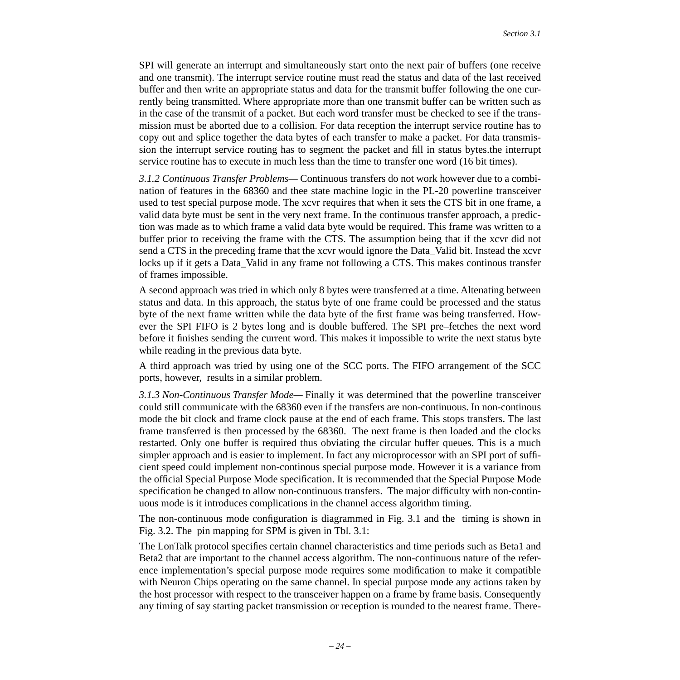SPI will generate an interrupt and simultaneously start onto the next pair of buffers (one receive and one transmit). The interrupt service routine must read the status and data of the last received buffer and then write an appropriate status and data for the transmit buffer following the one currently being transmitted. Where appropriate more than one transmit buffer can be written such as in the case of the transmit of a packet. But each word transfer must be checked to see if the transmission must be aborted due to a collision. For data reception the interrupt service routine has to copy out and splice together the data bytes of each transfer to make a packet. For data transmission the interrupt service routing has to segment the packet and fill in status bytes.the interrupt service routine has to execute in much less than the time to transfer one word (16 bit times).

*3.1.2 Continuous Transfer Problems—* Continuous transfers do not work however due to a combination of features in the 68360 and thee state machine logic in the PL-20 powerline transceiver used to test special purpose mode. The xcvr requires that when it sets the CTS bit in one frame, a valid data byte must be sent in the very next frame. In the continuous transfer approach, a prediction was made as to which frame a valid data byte would be required. This frame was written to a buffer prior to receiving the frame with the CTS. The assumption being that if the xcvr did not send a CTS in the preceding frame that the xcvr would ignore the Data\_Valid bit. Instead the xcvr locks up if it gets a Data\_Valid in any frame not following a CTS. This makes continous transfer of frames impossible.

A second approach was tried in which only 8 bytes were transferred at a time. Altenating between status and data. In this approach, the status byte of one frame could be processed and the status byte of the next frame written while the data byte of the first frame was being transferred. However the SPI FIFO is 2 bytes long and is double buffered. The SPI pre–fetches the next word before it finishes sending the current word. This makes it impossible to write the next status byte while reading in the previous data byte.

A third approach was tried by using one of the SCC ports. The FIFO arrangement of the SCC ports, however, results in a similar problem.

*3.1.3 Non-Continuous Transfer Mode—* Finally it was determined that the powerline transceiver could still communicate with the 68360 even if the transfers are non-continuous. In non-continous mode the bit clock and frame clock pause at the end of each frame. This stops transfers. The last frame transferred is then processed by the 68360. The next frame is then loaded and the clocks restarted. Only one buffer is required thus obviating the circular buffer queues. This is a much simpler approach and is easier to implement. In fact any microprocessor with an SPI port of sufficient speed could implement non-continous special purpose mode. However it is a variance from the official Special Purpose Mode specification. It is recommended that the Special Purpose Mode specification be changed to allow non-continuous transfers. The major difficulty with non-continuous mode is it introduces complications in the channel access algorithm timing.

The non-continuous mode configuration is diagrammed in [Fig. 3.1](#page-25-0) and the timing is shown in [Fig. 3.2](#page-26-0). The pin mapping for SPM is given in [Tbl. 3.1:](#page-24-0)

The LonTalk protocol specifies certain channel characteristics and time periods such as Beta1 and Beta2 that are important to the channel access algorithm. The non-continuous nature of the reference implementation's special purpose mode requires some modification to make it compatible with Neuron Chips operating on the same channel. In special purpose mode any actions taken by the host processor with respect to the transceiver happen on a frame by frame basis. Consequently any timing of say starting packet transmission or reception is rounded to the nearest frame. There-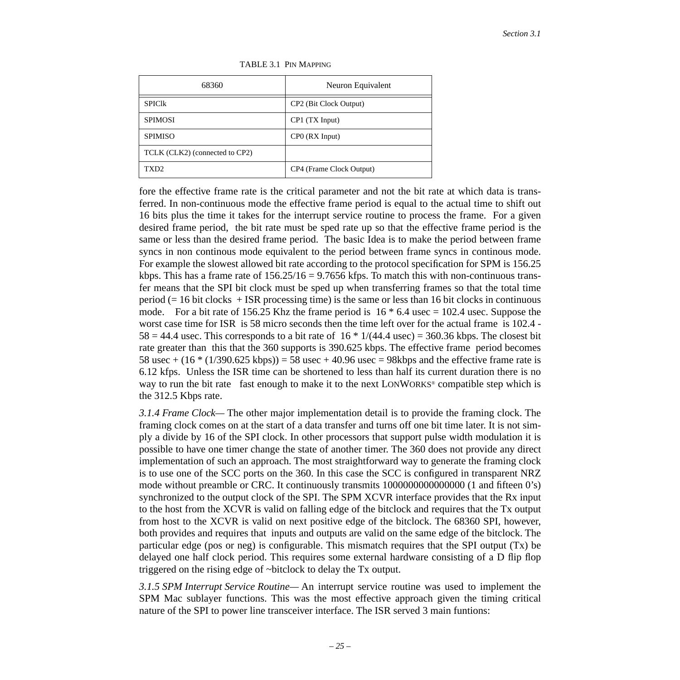<span id="page-24-0"></span>

| 68360                          | Neuron Equivalent        |
|--------------------------------|--------------------------|
| <b>SPICIK</b>                  | CP2 (Bit Clock Output)   |
| <b>SPIMOSI</b>                 | $CP1$ (TX Input)         |
| <b>SPIMISO</b>                 | CPO (RX Input)           |
| TCLK (CLK2) (connected to CP2) |                          |
| TXD2                           | CP4 (Frame Clock Output) |

#### TABLE 3.1 PIN MAPPING

fore the effective frame rate is the critical parameter and not the bit rate at which data is transferred. In non-continuous mode the effective frame period is equal to the actual time to shift out 16 bits plus the time it takes for the interrupt service routine to process the frame. For a given desired frame period, the bit rate must be sped rate up so that the effective frame period is the same or less than the desired frame period. The basic Idea is to make the period between frame syncs in non continous mode equivalent to the period between frame syncs in continous mode. For example the slowest allowed bit rate according to the protocol specification for SPM is 156.25 kbps. This has a frame rate of  $156.25/16 = 9.7656$  kfps. To match this with non-continuous transfer means that the SPI bit clock must be sped up when transferring frames so that the total time period (= 16 bit clocks + ISR processing time) is the same or less than 16 bit clocks in continuous mode. For a bit rate of 156.25 Khz the frame period is  $16 * 6.4$  usec = 102.4 usec. Suppose the worst case time for ISR is 58 micro seconds then the time left over for the actual frame is 102.4 -  $58 = 44.4$  usec. This corresponds to a bit rate of  $16 * 1/(44.4 \text{ usec}) = 360.36 \text{ kbps}$ . The closest bit rate greater than this that the 360 supports is 390.625 kbps. The effective frame period becomes 58 usec +  $(16 * (1/390.625 \text{ kbps}))$  = 58 usec + 40.96 usec = 98kbps and the effective frame rate is 6.12 kfps. Unless the ISR time can be shortened to less than half its current duration there is no way to run the bit rate fast enough to make it to the next LONWORKS<sup>®</sup> compatible step which is the 312.5 Kbps rate.

*3.1.4 Frame Clock—* The other major implementation detail is to provide the framing clock. The framing clock comes on at the start of a data transfer and turns off one bit time later. It is not simply a divide by 16 of the SPI clock. In other processors that support pulse width modulation it is possible to have one timer change the state of another timer. The 360 does not provide any direct implementation of such an approach. The most straightforward way to generate the framing clock is to use one of the SCC ports on the 360. In this case the SCC is configured in transparent NRZ mode without preamble or CRC. It continuously transmits 1000000000000000 (1 and fifteen 0's) synchronized to the output clock of the SPI. The SPM XCVR interface provides that the Rx input to the host from the XCVR is valid on falling edge of the bitclock and requires that the Tx output from host to the XCVR is valid on next positive edge of the bitclock. The 68360 SPI, however, both provides and requires that inputs and outputs are valid on the same edge of the bitclock. The particular edge (pos or neg) is configurable. This mismatch requires that the SPI output (Tx) be delayed one half clock period. This requires some external hardware consisting of a D flip flop triggered on the rising edge of ~bitclock to delay the Tx output.

*3.1.5 SPM Interrupt Service Routine—* An interrupt service routine was used to implement the SPM Mac sublayer functions. This was the most effective approach given the timing critical nature of the SPI to power line transceiver interface. The ISR served 3 main funtions: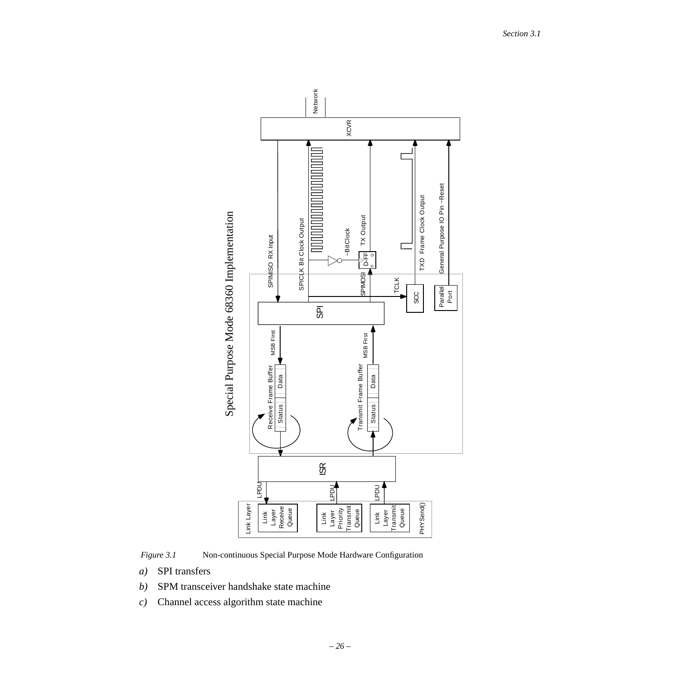

<span id="page-25-0"></span>

- *a)* SPI transfers
- *b)* SPM transceiver handshake state machine
- *c)* Channel access algorithm state machine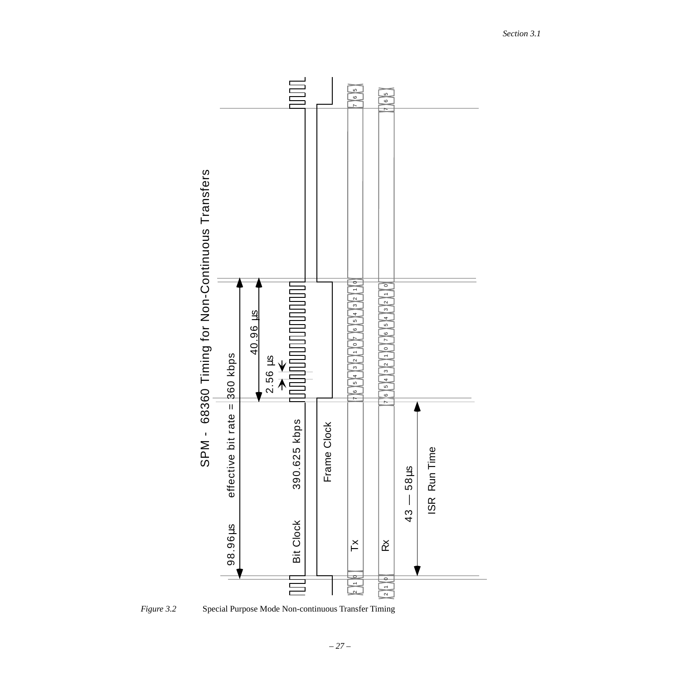

<span id="page-26-0"></span>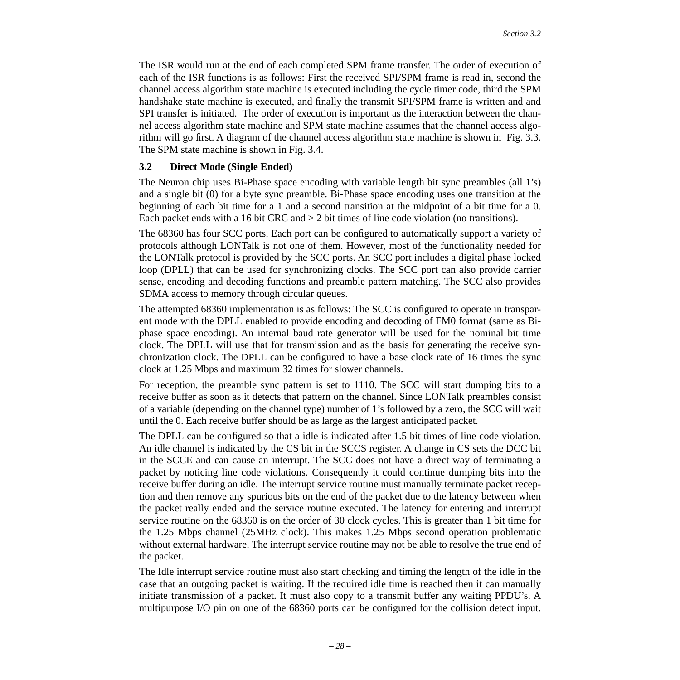The ISR would run at the end of each completed SPM frame transfer. The order of execution of each of the ISR functions is as follows: First the received SPI/SPM frame is read in, second the channel access algorithm state machine is executed including the cycle timer code, third the SPM handshake state machine is executed, and finally the transmit SPI/SPM frame is written and and SPI transfer is initiated. The order of execution is important as the interaction between the channel access algorithm state machine and SPM state machine assumes that the channel access algorithm will go first. A diagram of the channel access algorithm state machine is shown in [Fig. 3.3](#page-28-0). The SPM state machine is shown in [Fig. 3.4.](#page-29-0)

### <span id="page-27-0"></span>**3.2 Direct Mode (Single Ended)**

The Neuron chip uses Bi-Phase space encoding with variable length bit sync preambles (all 1's) and a single bit (0) for a byte sync preamble. Bi-Phase space encoding uses one transition at the beginning of each bit time for a 1 and a second transition at the midpoint of a bit time for a 0. Each packet ends with a 16 bit CRC and  $> 2$  bit times of line code violation (no transitions).

The 68360 has four SCC ports. Each port can be configured to automatically support a variety of protocols although LONTalk is not one of them. However, most of the functionality needed for the LONTalk protocol is provided by the SCC ports. An SCC port includes a digital phase locked loop (DPLL) that can be used for synchronizing clocks. The SCC port can also provide carrier sense, encoding and decoding functions and preamble pattern matching. The SCC also provides SDMA access to memory through circular queues.

The attempted 68360 implementation is as follows: The SCC is configured to operate in transparent mode with the DPLL enabled to provide encoding and decoding of FM0 format (same as Biphase space encoding). An internal baud rate generator will be used for the nominal bit time clock. The DPLL will use that for transmission and as the basis for generating the receive synchronization clock. The DPLL can be configured to have a base clock rate of 16 times the sync clock at 1.25 Mbps and maximum 32 times for slower channels.

For reception, the preamble sync pattern is set to 1110. The SCC will start dumping bits to a receive buffer as soon as it detects that pattern on the channel. Since LONTalk preambles consist of a variable (depending on the channel type) number of 1's followed by a zero, the SCC will wait until the 0. Each receive buffer should be as large as the largest anticipated packet.

The DPLL can be configured so that a idle is indicated after 1.5 bit times of line code violation. An idle channel is indicated by the CS bit in the SCCS register. A change in CS sets the DCC bit in the SCCE and can cause an interrupt. The SCC does not have a direct way of terminating a packet by noticing line code violations. Consequently it could continue dumping bits into the receive buffer during an idle. The interrupt service routine must manually terminate packet reception and then remove any spurious bits on the end of the packet due to the latency between when the packet really ended and the service routine executed. The latency for entering and interrupt service routine on the 68360 is on the order of 30 clock cycles. This is greater than 1 bit time for the 1.25 Mbps channel (25MHz clock). This makes 1.25 Mbps second operation problematic without external hardware. The interrupt service routine may not be able to resolve the true end of the packet.

The Idle interrupt service routine must also start checking and timing the length of the idle in the case that an outgoing packet is waiting. If the required idle time is reached then it can manually initiate transmission of a packet. It must also copy to a transmit buffer any waiting PPDU's. A multipurpose I/O pin on one of the 68360 ports can be configured for the collision detect input.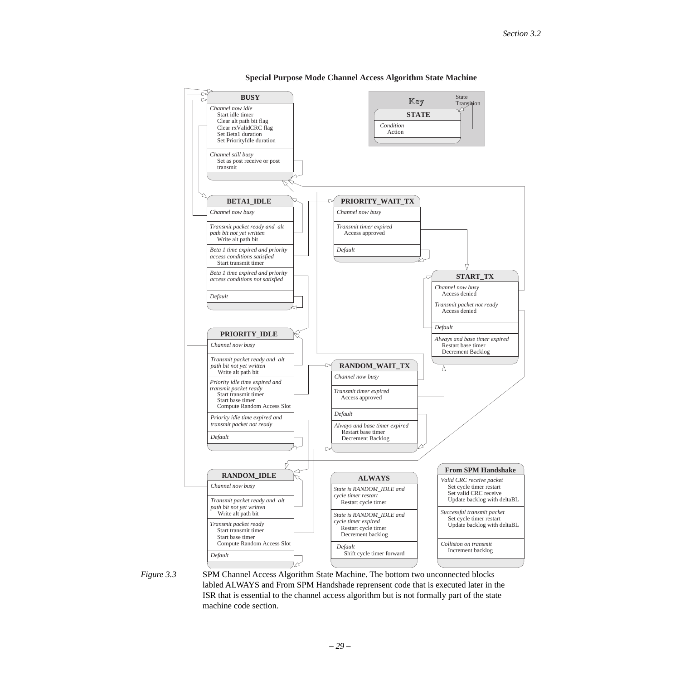

#### **Special Purpose Mode Channel Access Algorithm State Machine**

<span id="page-28-0"></span>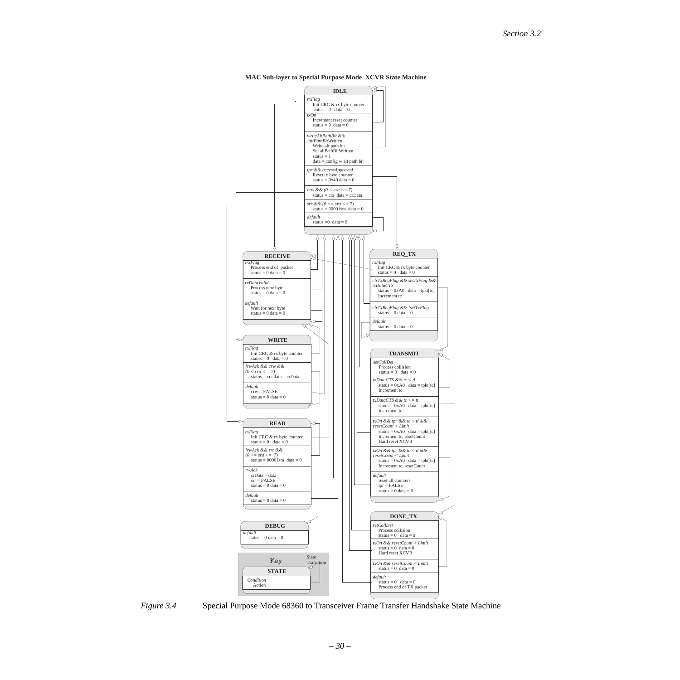

**MAC Sub-layer to Special Purpose Mode XCVR State Machine**

<span id="page-29-0"></span>*Figure 3.4* Special Purpose Mode 68360 to Transceiver Frame Transfer Handshake State Machine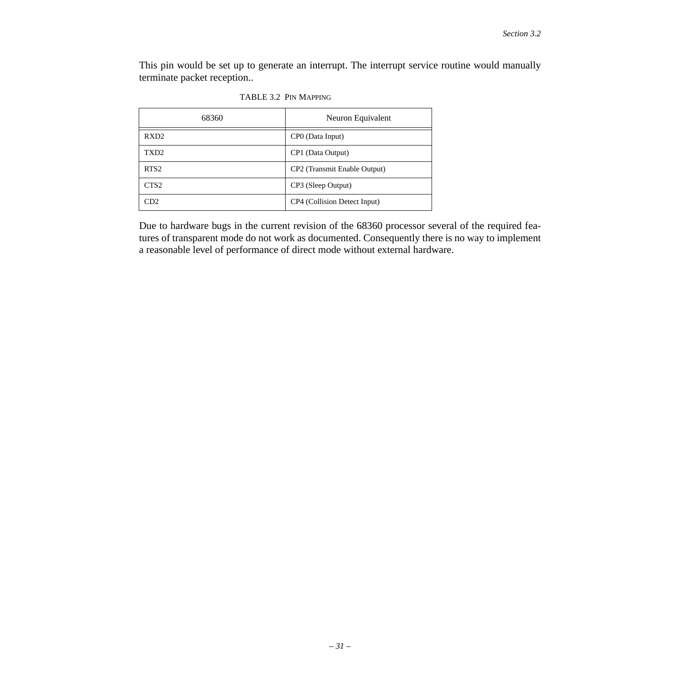This pin would be set up to generate an interrupt. The interrupt service routine would manually terminate packet reception..

| 68360            | Neuron Equivalent            |
|------------------|------------------------------|
| RXD <sub>2</sub> | CPO (Data Input)             |
| TXD <sub>2</sub> | CP1 (Data Output)            |
| RTS <sub>2</sub> | CP2 (Transmit Enable Output) |
| CTS <sub>2</sub> | CP3 (Sleep Output)           |
| CD2.             | CP4 (Collision Detect Input) |

Due to hardware bugs in the current revision of the 68360 processor several of the required features of transparent mode do not work as documented. Consequently there is no way to implement a reasonable level of performance of direct mode without external hardware.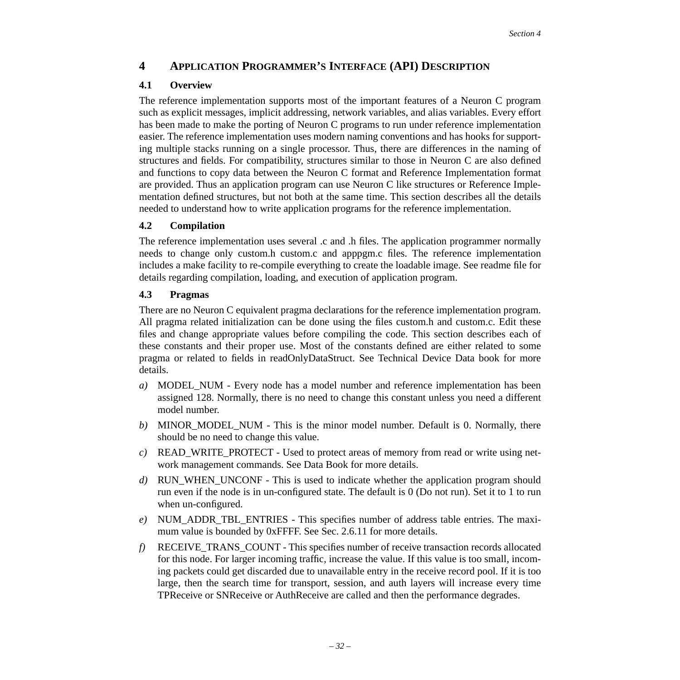# <span id="page-31-0"></span>**4 APPLICATION PROGRAMMER'S INTERFACE (API) DESCRIPTION**

## <span id="page-31-1"></span>**4.1 Overview**

The reference implementation supports most of the important features of a Neuron C program such as explicit messages, implicit addressing, network variables, and alias variables. Every effort has been made to make the porting of Neuron C programs to run under reference implementation easier. The reference implementation uses modern naming conventions and has hooks for supporting multiple stacks running on a single processor. Thus, there are differences in the naming of structures and fields. For compatibility, structures similar to those in Neuron C are also defined and functions to copy data between the Neuron C format and Reference Implementation format are provided. Thus an application program can use Neuron C like structures or Reference Implementation defined structures, but not both at the same time. This section describes all the details needed to understand how to write application programs for the reference implementation.

# <span id="page-31-3"></span>**4.2 Compilation**

The reference implementation uses several .c and .h files. The application programmer normally needs to change only custom.h custom.c and apppgm.c files. The reference implementation includes a make facility to re-compile everything to create the loadable image. See readme file for details regarding compilation, loading, and execution of application program.

## <span id="page-31-2"></span>**4.3 Pragmas**

There are no Neuron C equivalent pragma declarations for the reference implementation program. All pragma related initialization can be done using the files custom.h and custom.c. Edit these files and change appropriate values before compiling the code. This section describes each of these constants and their proper use. Most of the constants defined are either related to some pragma or related to fields in readOnlyDataStruct. See Technical Device Data book for more details.

- *a)* MODEL\_NUM Every node has a model number and reference implementation has been assigned 128. Normally, there is no need to change this constant unless you need a different model number.
- *b)* MINOR\_MODEL\_NUM This is the minor model number. Default is 0. Normally, there should be no need to change this value.
- *c)* READ\_WRITE\_PROTECT Used to protect areas of memory from read or write using network management commands. See Data Book for more details.
- *d)* RUN\_WHEN\_UNCONF This is used to indicate whether the application program should run even if the node is in un-configured state. The default is 0 (Do not run). Set it to 1 to run when un-configured.
- *e)* NUM\_ADDR\_TBL\_ENTRIES This specifies number of address table entries. The maxi-mum value is bounded by 0xFFFF. See [Sec. 2.6.11](#page-19-0) for more details.
- *f)* RECEIVE\_TRANS\_COUNT This specifies number of receive transaction records allocated for this node. For larger incoming traffic, increase the value. If this value is too small, incoming packets could get discarded due to unavailable entry in the receive record pool. If it is too large, then the search time for transport, session, and auth layers will increase every time TPReceive or SNReceive or AuthReceive are called and then the performance degrades.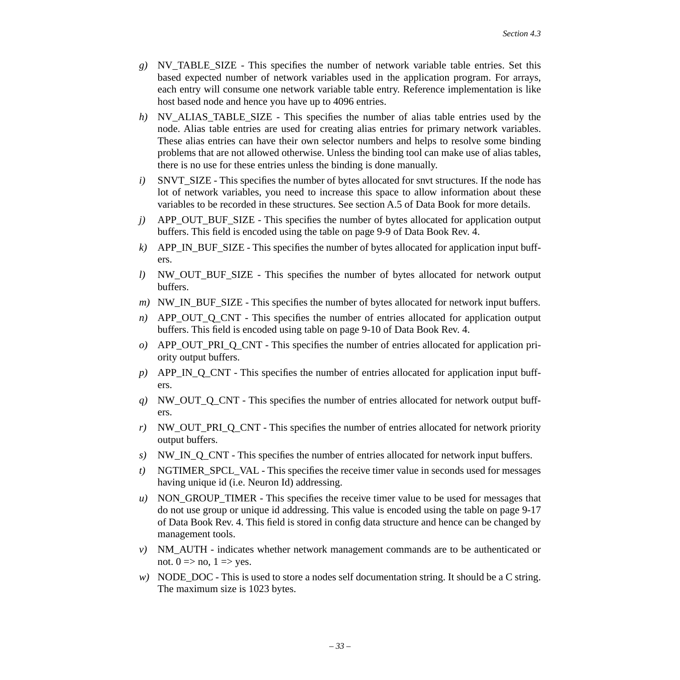- *g)* NV\_TABLE\_SIZE This specifies the number of network variable table entries. Set this based expected number of network variables used in the application program. For arrays, each entry will consume one network variable table entry. Reference implementation is like host based node and hence you have up to 4096 entries.
- *h*) NV\_ALIAS\_TABLE\_SIZE This specifies the number of alias table entries used by the node. Alias table entries are used for creating alias entries for primary network variables. These alias entries can have their own selector numbers and helps to resolve some binding problems that are not allowed otherwise. Unless the binding tool can make use of alias tables, there is no use for these entries unless the binding is done manually.
- *i*) SNVT SIZE This specifies the number of bytes allocated for snvt structures. If the node has lot of network variables, you need to increase this space to allow information about these variables to be recorded in these structures. See section A.5 of Data Book for more details.
- *j)* APP\_OUT\_BUF\_SIZE This specifies the number of bytes allocated for application output buffers. This field is encoded using the table on page 9-9 of Data Book Rev. 4.
- *k*) APP\_IN\_BUF\_SIZE This specifies the number of bytes allocated for application input buffers.
- *l)* NW OUT BUF SIZE This specifies the number of bytes allocated for network output buffers.
- *m*) NW\_IN\_BUF\_SIZE This specifies the number of bytes allocated for network input buffers.
- *n*) APP\_OUT\_Q\_CNT This specifies the number of entries allocated for application output buffers. This field is encoded using table on page 9-10 of Data Book Rev. 4.
- *o*) APP OUT PRI O CNT This specifies the number of entries allocated for application priority output buffers.
- *p)* APP\_IN\_Q\_CNT This specifies the number of entries allocated for application input buffers.
- *q)* NW\_OUT\_Q\_CNT This specifies the number of entries allocated for network output buffers.
- *r)* NW\_OUT\_PRI\_Q\_CNT This specifies the number of entries allocated for network priority output buffers.
- *s*) NW IN Q CNT This specifies the number of entries allocated for network input buffers.
- *t*) NGTIMER SPCL VAL This specifies the receive timer value in seconds used for messages having unique id (i.e. Neuron Id) addressing.
- *u)* NON\_GROUP\_TIMER This specifies the receive timer value to be used for messages that do not use group or unique id addressing. This value is encoded using the table on page 9-17 of Data Book Rev. 4. This field is stored in config data structure and hence can be changed by management tools.
- *v)* NM\_AUTH indicates whether network management commands are to be authenticated or not.  $0 \Rightarrow$  no,  $1 \Rightarrow$  yes.
- *w*) NODE DOC This is used to store a nodes self documentation string. It should be a C string. The maximum size is 1023 bytes.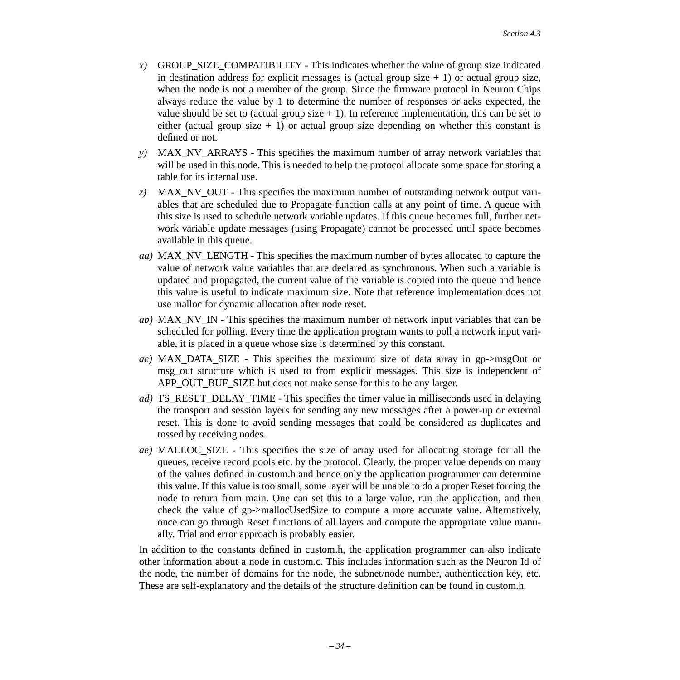- *x)* GROUP\_SIZE\_COMPATIBILITY This indicates whether the value of group size indicated in destination address for explicit messages is (actual group size  $+ 1$ ) or actual group size, when the node is not a member of the group. Since the firmware protocol in Neuron Chips always reduce the value by 1 to determine the number of responses or acks expected, the value should be set to (actual group size  $+ 1$ ). In reference implementation, this can be set to either (actual group size  $+ 1$ ) or actual group size depending on whether this constant is defined or not.
- *y)* MAX\_NV\_ARRAYS This specifies the maximum number of array network variables that will be used in this node. This is needed to help the protocol allocate some space for storing a table for its internal use.
- *z)* MAX\_NV\_OUT This specifies the maximum number of outstanding network output variables that are scheduled due to Propagate function calls at any point of time. A queue with this size is used to schedule network variable updates. If this queue becomes full, further network variable update messages (using Propagate) cannot be processed until space becomes available in this queue.
- *aa)* MAX\_NV\_LENGTH This specifies the maximum number of bytes allocated to capture the value of network value variables that are declared as synchronous. When such a variable is updated and propagated, the current value of the variable is copied into the queue and hence this value is useful to indicate maximum size. Note that reference implementation does not use malloc for dynamic allocation after node reset.
- *ab)* MAX\_NV\_IN This specifies the maximum number of network input variables that can be scheduled for polling. Every time the application program wants to poll a network input variable, it is placed in a queue whose size is determined by this constant.
- *ac)* MAX\_DATA\_SIZE This specifies the maximum size of data array in gp->msgOut or msg\_out structure which is used to from explicit messages. This size is independent of APP\_OUT\_BUF\_SIZE but does not make sense for this to be any larger.
- *ad)* TS\_RESET\_DELAY\_TIME This specifies the timer value in milliseconds used in delaying the transport and session layers for sending any new messages after a power-up or external reset. This is done to avoid sending messages that could be considered as duplicates and tossed by receiving nodes.
- *ae)* MALLOC\_SIZE This specifies the size of array used for allocating storage for all the queues, receive record pools etc. by the protocol. Clearly, the proper value depends on many of the values defined in custom.h and hence only the application programmer can determine this value. If this value is too small, some layer will be unable to do a proper Reset forcing the node to return from main. One can set this to a large value, run the application, and then check the value of gp->mallocUsedSize to compute a more accurate value. Alternatively, once can go through Reset functions of all layers and compute the appropriate value manually. Trial and error approach is probably easier.

In addition to the constants defined in custom.h, the application programmer can also indicate other information about a node in custom.c. This includes information such as the Neuron Id of the node, the number of domains for the node, the subnet/node number, authentication key, etc. These are self-explanatory and the details of the structure definition can be found in custom.h.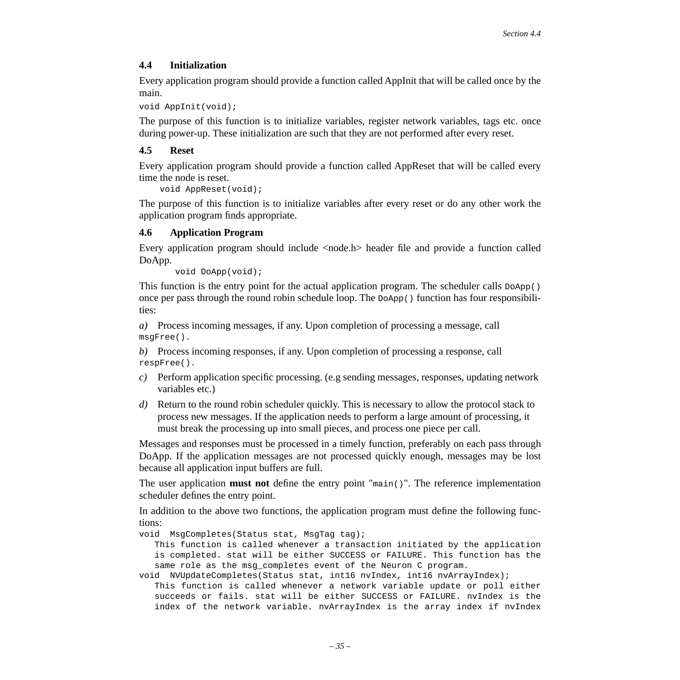### <span id="page-34-0"></span>**4.4 Initialization**

Every application program should provide a function called AppInit that will be called once by the main.

```
void AppInit(void);
```
The purpose of this function is to initialize variables, register network variables, tags etc. once during power-up. These initialization are such that they are not performed after every reset.

### <span id="page-34-2"></span>**4.5 Reset**

Every application program should provide a function called AppReset that will be called every time the node is reset.

```
 void AppReset(void);
```
The purpose of this function is to initialize variables after every reset or do any other work the application program finds appropriate.

### <span id="page-34-1"></span>**4.6 Application Program**

Every application program should include <node.h> header file and provide a function called DoApp.

```
 void DoApp(void);
```
This function is the entry point for the actual application program. The scheduler calls  $D\circ App()$ once per pass through the round robin schedule loop. The  $\Delta_{\rm DApp(1)}$  function has four responsibilities:

*a)* Process incoming messages, if any. Upon completion of processing a message, call msgFree().

*b)* Process incoming responses, if any. Upon completion of processing a response, call respFree().

- *c)* Perform application specific processing. (e.g sending messages, responses, updating network variables etc.)
- *d)* Return to the round robin scheduler quickly. This is necessary to allow the protocol stack to process new messages. If the application needs to perform a large amount of processing, it must break the processing up into small pieces, and process one piece per call.

Messages and responses must be processed in a timely function, preferably on each pass through DoApp. If the application messages are not processed quickly enough, messages may be lost because all application input buffers are full.

The user application **must not** define the entry point "main()". The reference implementation scheduler defines the entry point.

In addition to the above two functions, the application program must define the following functions:

void MsgCompletes(Status stat, MsgTag tag);

This function is called whenever a transaction initiated by the application is completed. stat will be either SUCCESS or FAILURE. This function has the same role as the msg\_completes event of the Neuron C program.

void NVUpdateCompletes(Status stat, int16 nvIndex, int16 nvArrayIndex); This function is called whenever a network variable update or poll either succeeds or fails. stat will be either SUCCESS or FAILURE. nvIndex is the index of the network variable. nvArrayIndex is the array index if nvIndex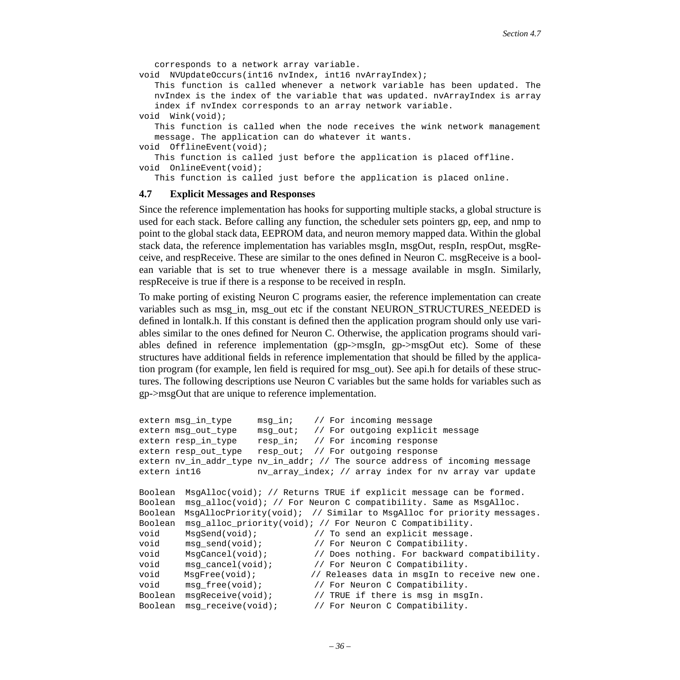corresponds to a network array variable.

void NVUpdateOccurs(int16 nvIndex, int16 nvArrayIndex);

This function is called whenever a network variable has been updated. The nvIndex is the index of the variable that was updated. nvArrayIndex is array index if nvIndex corresponds to an array network variable. void Wink(void);

This function is called when the node receives the wink network management message. The application can do whatever it wants.

```
void OfflineEvent(void);
```
This function is called just before the application is placed offline. void OnlineEvent(void);

This function is called just before the application is placed online.

#### <span id="page-35-0"></span>**4.7 Explicit Messages and Responses**

Since the reference implementation has hooks for supporting multiple stacks, a global structure is used for each stack. Before calling any function, the scheduler sets pointers gp, eep, and nmp to point to the global stack data, EEPROM data, and neuron memory mapped data. Within the global stack data, the reference implementation has variables msgIn, msgOut, respIn, respOut, msgReceive, and respReceive. These are similar to the ones defined in Neuron C. msgReceive is a boolean variable that is set to true whenever there is a message available in msgIn. Similarly, respReceive is true if there is a response to be received in respIn.

To make porting of existing Neuron C programs easier, the reference implementation can create variables such as msg\_in, msg\_out etc if the constant NEURON\_STRUCTURES\_NEEDED is defined in lontalk.h. If this constant is defined then the application program should only use variables similar to the ones defined for Neuron C. Otherwise, the application programs should variables defined in reference implementation (gp->msgIn, gp->msgOut etc). Some of these structures have additional fields in reference implementation that should be filled by the application program (for example, len field is required for msg\_out). See api.h for details of these structures. The following descriptions use Neuron C variables but the same holds for variables such as gp->msgOut that are unique to reference implementation.

```
extern msg_in_type msg_in; // For incoming message
extern msg_out type msg_out; // For outgoing explicit message
extern resp_in_type resp_in; // For incoming response
extern resp_out_type resp_out; // For outgoing response
extern nv_in_addr_type nv_in_addr; // The source address of incoming message
extern int16 nv_{array\_int} index; // array index for nv array var update
Boolean MsgAlloc(void); // Returns TRUE if explicit message can be formed.
Boolean msg alloc(void); // For Neuron C compatibility. Same as MsgAlloc.
Boolean MsgAllocPriority(void); // Similar to MsgAlloc for priority messages.
Boolean msg alloc priority(void); // For Neuron C Compatibility.
void MsgSend(void); // To send an explicit message.
void msg send(void); // For Neuron C Compatibility.
void MsgCancel(void); // Does nothing. For backward compatibility.
void msg_cancel(void); // For Neuron C Compatibility.
void MsgFree(void); \sqrt{2} Releases data in msgIn to receive new one.
void msg_free(void); // For Neuron C Compatibility.
Boolean msgReceive(void); // TRUE if there is msg in msgIn.
Boolean msg_receive(void); // For Neuron C Compatibility.
```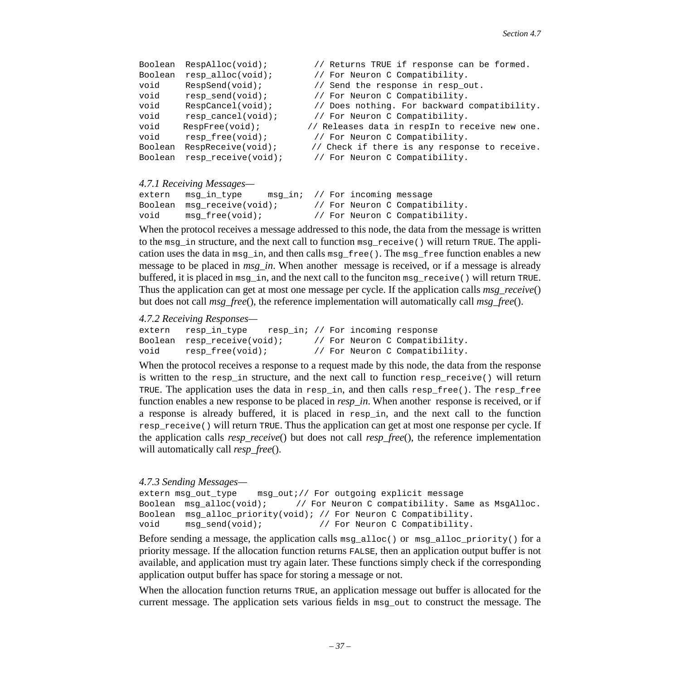| Boolean | RespAlloc(void);        | // Returns TRUE if response can be formed.     |
|---------|-------------------------|------------------------------------------------|
| Boolean | resp_alloc(void);       | // For Neuron C Compatibility.                 |
| void    | $RespSend(void)$ ;      | // Send the response in resp_out.              |
| void    | $resp\_send(void);$     | // For Neuron C Compatibility.                 |
| void    | RespCancel(void);       | // Does nothing. For backward compatibility.   |
| void    | $resp \ncancel(void)$ ; | // For Neuron C Compatibility.                 |
| void    | RespFree(void);         | // Releases data in respIn to receive new one. |
| void    | $resp\_free(void);$     | // For Neuron C Compatibility.                 |
| Boolean | RespReceive(void);      | // Check if there is any response to receive.  |
| Boolean | resp receive(void);     | // For Neuron C Compatibility.                 |
|         |                         |                                                |

#### *4.7.1 Receiving Messages—*

```
extern msg_in_type msg_in; // For incoming message
Boolean msg_receive(void); // For Neuron C Compatibility.
void msg_free(void); // For Neuron C Compatibility.
```
When the protocol receives a message addressed to this node, the data from the message is written to the msg in structure, and the next call to function msg receive() will return TRUE. The application uses the data in msg in, and then calls msg  $free()$ . The msg  $free$  function enables a new message to be placed in *msg. in*. When another message is received, or if a message is already buffered, it is placed in  $\text{msg}_i$ n, and the next call to the funciton  $\text{msg}_i$  receive() will return TRUE. Thus the application can get at most one message per cycle. If the application calls *msg\_receive*() but does not call *msg\_free*(), the reference implementation will automatically call *msg\_free*().

*4.7.2 Receiving Responses—* 

```
extern resp_in_type resp_in; // For incoming response
Boolean resp receive(void); // For Neuron C Compatibility.
void resp_free(void); // For Neuron C Compatibility.
```
When the protocol receives a response to a request made by this node, the data from the response is written to the resp\_in structure, and the next call to function resp\_receive() will return TRUE. The application uses the data in resp in, and then calls resp free(). The resp free function enables a new response to be placed in *resp\_in*. When another response is received, or if a response is already buffered, it is placed in resp\_in, and the next call to the function resp\_receive() will return TRUE. Thus the application can get at most one response per cycle. If the application calls *resp\_receive*() but does not call *resp\_free*(), the reference implementation will automatically call *resp\_free*().

### *4.7.3 Sending Messages—*

```
extern msg_out_type msg_out;// For outgoing explicit message
Boolean msg_alloc(void); // For Neuron C compatibility. Same as MsgAlloc.
Boolean msg_alloc_priority(void); // For Neuron C Compatibility.
void msg_send(void); // For Neuron C Compatibility.
```
Before sending a message, the application calls msg\_alloc() or msg\_alloc\_priority() for a priority message. If the allocation function returns FALSE, then an application output buffer is not available, and application must try again later. These functions simply check if the corresponding application output buffer has space for storing a message or not.

When the allocation function returns TRUE, an application message out buffer is allocated for the current message. The application sets various fields in msg\_out to construct the message. The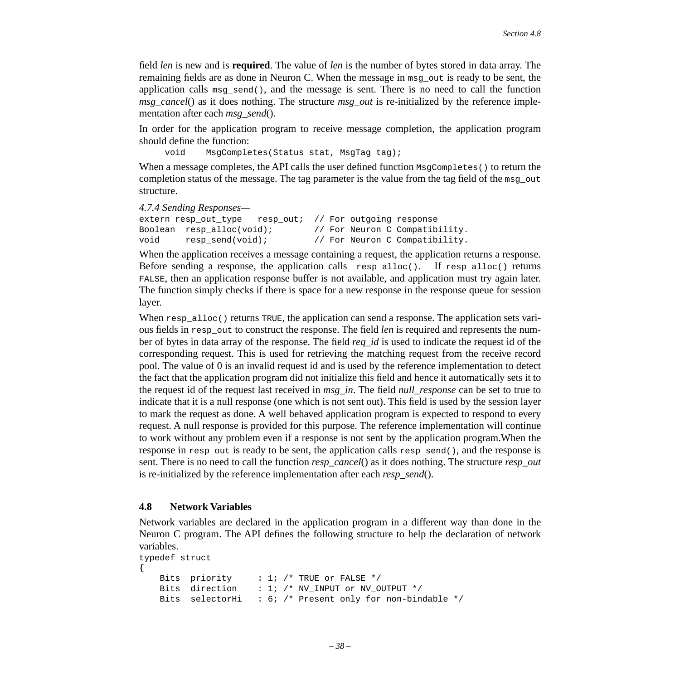field *len* is new and is **required**. The value of *len* is the number of bytes stored in data array. The remaining fields are as done in Neuron C. When the message in msg\_out is ready to be sent, the application calls msg\_send(), and the message is sent. There is no need to call the function *msg\_cancel*() as it does nothing. The structure *msg\_out* is re-initialized by the reference implementation after each *msg\_send*().

In order for the application program to receive message completion, the application program should define the function:

void MsgCompletes(Status stat, MsgTag tag);

When a message completes, the API calls the user defined function  $\text{MsqCompletes}$  () to return the completion status of the message. The tag parameter is the value from the tag field of the msg\_out structure.

*4.7.4 Sending Responses—* 

```
extern resp out type resp out; // For outgoing response
Boolean resp_alloc(void); // For Neuron C Compatibility.
void resp send(void); // For Neuron C Compatibility.
```
When the application receives a message containing a request, the application returns a response. Before sending a response, the application calls  $resp\_alloc()$ . If  $resp\_alloc()$  returns FALSE, then an application response buffer is not available, and application must try again later. The function simply checks if there is space for a new response in the response queue for session layer.

When  $resp\_alloc()$  returns TRUE, the application can send a response. The application sets various fields in resp\_out to construct the response. The field *len* is required and represents the number of bytes in data array of the response. The field *req\_id* is used to indicate the request id of the corresponding request. This is used for retrieving the matching request from the receive record pool. The value of 0 is an invalid request id and is used by the reference implementation to detect the fact that the application program did not initialize this field and hence it automatically sets it to the request id of the request last received in *msg\_in*. The field *null\_response* can be set to true to indicate that it is a null response (one which is not sent out). This field is used by the session layer to mark the request as done. A well behaved application program is expected to respond to every request. A null response is provided for this purpose. The reference implementation will continue to work without any problem even if a response is not sent by the application program.When the response in resp out is ready to be sent, the application calls resp send(), and the response is sent. There is no need to call the function *resp\_cancel*() as it does nothing. The structure *resp\_out* is re-initialized by the reference implementation after each *resp\_send*().

### <span id="page-37-0"></span>**4.8 Network Variables**

Network variables are declared in the application program in a different way than done in the Neuron C program. The API defines the following structure to help the declaration of network variables.

```
typedef struct 
{ 
   Bits priority : 1; /* TRUE or FALSE */
   Bits direction : 1; /* NV INPUT or NV OUTPUT */
   Bits selectorHi : 6; /* Present only for non-bindable */
```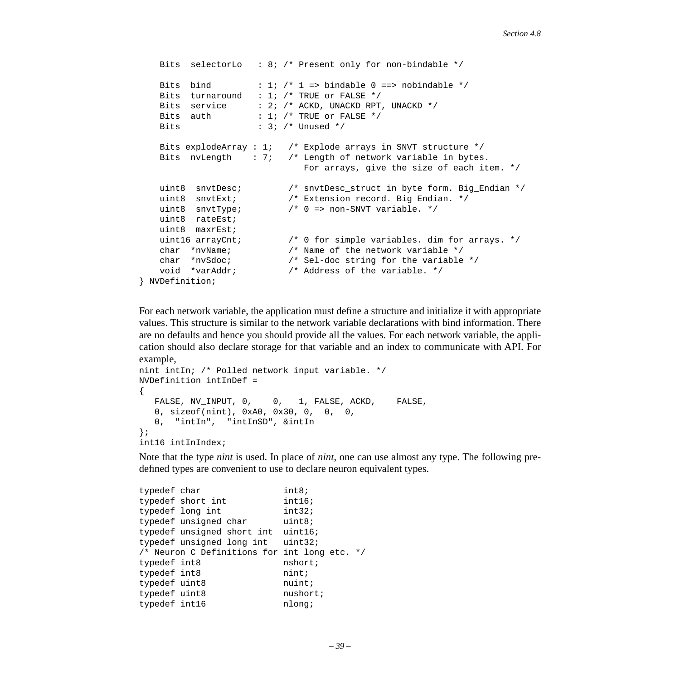```
Bits selectorLo : 8; /* Present only for non-bindable */
   Bits bind : 1; /* 1 => bindable 0 ==> nobindable */
   Bits turnaround : 1; /* TRUE or FALSE */Bits service : 2; /* ACKD, UNACKD_RPT, UNACKD */
   Bits auth : 1; /* TRUE or FALSE */Bits : 3; /* Unused */
    Bits explodeArray : 1; /* Explode arrays in SNVT structure */
    Bits nvLength : 7; /* Length of network variable in bytes. 
                              For arrays, give the size of each item. */
   uint8 snvtDesc; \frac{1}{2} /* snvtDesc_struct in byte form. Big_Endian */
   uint8 snvtExt; \frac{1}{2} /* Extension record. Big_Endian. */
   uint8 snvtType; / /* 0 => non-SNVT variable. */
    uint8 rateEst;
    uint8 maxrEst;
   uint16 arrayCnt; \frac{1}{2} /* 0 for simple variables. dim for arrays. */
    char *nvName; /* Name of the network variable */
    char *nvSdoc; /* Sel-doc string for the variable */
    void *varAddr; /* Address of the variable. */
} NVDefinition;
```
For each network variable, the application must define a structure and initialize it with appropriate values. This structure is similar to the network variable declarations with bind information. There are no defaults and hence you should provide all the values. For each network variable, the application should also declare storage for that variable and an index to communicate with API. For example,

```
nint intIn; /* Polled network input variable. */
NVDefinition intInDef = 
\left\{ \right. FALSE, NV_INPUT, 0, 0, 1, FALSE, ACKD, FALSE, 
    0, sizeof(nint), 0xA0, 0x30, 0, 0, 0, 
    0, "intIn", "intInSD", &intIn
};
int16 intInIndex;
```
Note that the type *nint* is used. In place of *nint*, one can use almost any type. The following predefined types are convenient to use to declare neuron equivalent types.

```
typedef char int8;
typedef short int intl6;
typedef long int int32;
typedef unsigned char uint8;
typedef unsigned short int uint16;
typedef unsigned long int uint32;
/* Neuron C Definitions for int long etc. */
typedef int8 nshort;
typedef int8 nint;
typedef uint8 nuint;
typedef uint8 nushort;
typedef int16 mlong;
```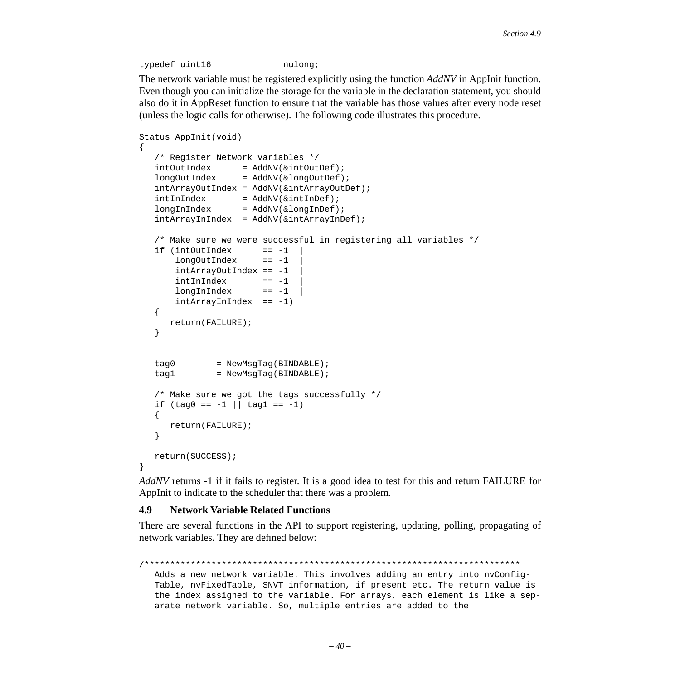```
typedef uint16 mulong;
```
The network variable must be registered explicitly using the function *AddNV* in AppInit function. Even though you can initialize the storage for the variable in the declaration statement, you should also do it in AppReset function to ensure that the variable has those values after every node reset (unless the logic calls for otherwise). The following code illustrates this procedure.

```
Status AppInit(void)
{
    /* Register Network variables */
   \qquad \qquad \texttt{ind}\texttt{C} = \texttt{Add}\texttt{N}(\texttt{C}\texttt{int}\texttt{Out}\texttt{Def});longOutIndex = AddNV(&longOutDef);
    intArrayOutIndex = AddNV(&intArrayOutDef);
   intInIndex = AddNV(&intInDef);
    longInIndex = AddNV(&longInDef);
   intArrayInIndex = AddNV(\&intArrayInDef);/* Make sure we were successful in registering all variables */<br>if (intOutIndex == -1 ||
   if (intOutIndex
       longOutIndex == -1 ||
       intArrayOutIndex == -1 ||intInIndex == -1 ||
       longInIndex == -1 ||
        intArrayInIndex == -1)
    {
       return(FAILURE);
    }
   tag0 = NewMsgTag(BINDABLE);
   tag1 = NewMsqTaq(BINDABLE);
    /* Make sure we got the tags successfully */
   if (tag0 == -1 || tag1 == -1) {
       return(FAILURE);
    }
    return(SUCCESS);
}
```
*AddNV* returns -1 if it fails to register. It is a good idea to test for this and return FAILURE for AppInit to indicate to the scheduler that there was a problem.

### <span id="page-39-0"></span>**4.9 Network Variable Related Functions**

There are several functions in the API to support registering, updating, polling, propagating of network variables. They are defined below:

```
/*************************************************************************
  Adds a new network variable. This involves adding an entry into nvConfig-
  Table, nvFixedTable, SNVT information, if present etc. The return value is 
  the index assigned to the variable. For arrays, each element is like a sep-
  arate network variable. So, multiple entries are added to the
```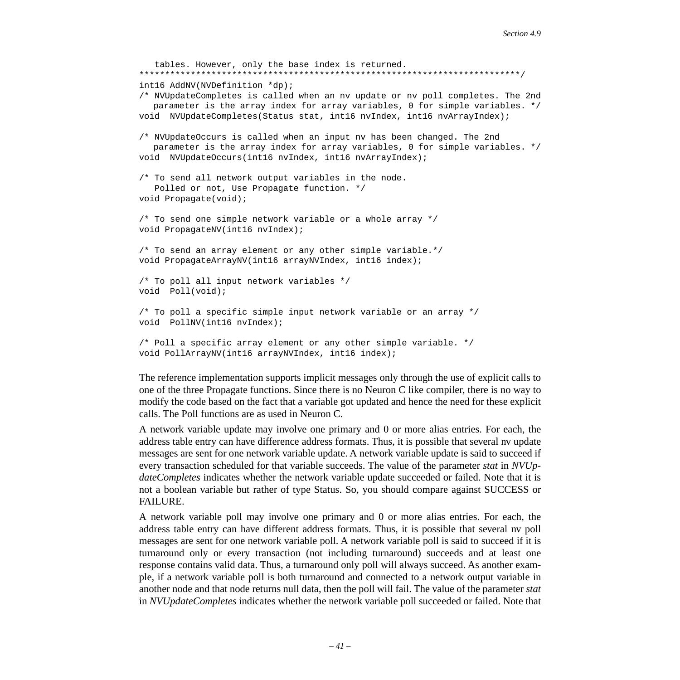```
tables. However, only the base index is returned.
**************************************************************************/
int16 AddNV(NVDefinition *dp);
/* NVUpdateCompletes is called when an nv update or nv poll completes. The 2nd
   parameter is the array index for array variables, 0 for simple variables. */
void NVUpdateCompletes(Status stat, int16 nvIndex, int16 nvArrayIndex);
/* NVUpdateOccurs is called when an input nv has been changed. The 2nd
   parameter is the array index for array variables, 0 for simple variables. */
void NVUpdateOccurs(int16 nvIndex, int16 nvArrayIndex);
/* To send all network output variables in the node.
    Polled or not, Use Propagate function. */
void Propagate(void);
/* To send one simple network variable or a whole array */
void PropagateNV(int16 nvIndex); 
/* To send an array element or any other simple variable.*/
void PropagateArrayNV(int16 arrayNVIndex, int16 index);
/* To poll all input network variables */
void Poll(void);
/* To poll a specific simple input network variable or an array */
void PollNV(int16 nvIndex);
/* Poll a specific array element or any other simple variable. */
void PollArrayNV(int16 arrayNVIndex, int16 index);
```
The reference implementation supports implicit messages only through the use of explicit calls to one of the three Propagate functions. Since there is no Neuron C like compiler, there is no way to modify the code based on the fact that a variable got updated and hence the need for these explicit calls. The Poll functions are as used in Neuron C.

A network variable update may involve one primary and 0 or more alias entries. For each, the address table entry can have difference address formats. Thus, it is possible that several nv update messages are sent for one network variable update. A network variable update is said to succeed if every transaction scheduled for that variable succeeds. The value of the parameter *stat* in *NVUpdateCompletes* indicates whether the network variable update succeeded or failed. Note that it is not a boolean variable but rather of type Status. So, you should compare against SUCCESS or FAILURE.

A network variable poll may involve one primary and 0 or more alias entries. For each, the address table entry can have different address formats. Thus, it is possible that several nv poll messages are sent for one network variable poll. A network variable poll is said to succeed if it is turnaround only or every transaction (not including turnaround) succeeds and at least one response contains valid data. Thus, a turnaround only poll will always succeed. As another example, if a network variable poll is both turnaround and connected to a network output variable in another node and that node returns null data, then the poll will fail. The value of the parameter *stat* in *NVUpdateCompletes* indicates whether the network variable poll succeeded or failed. Note that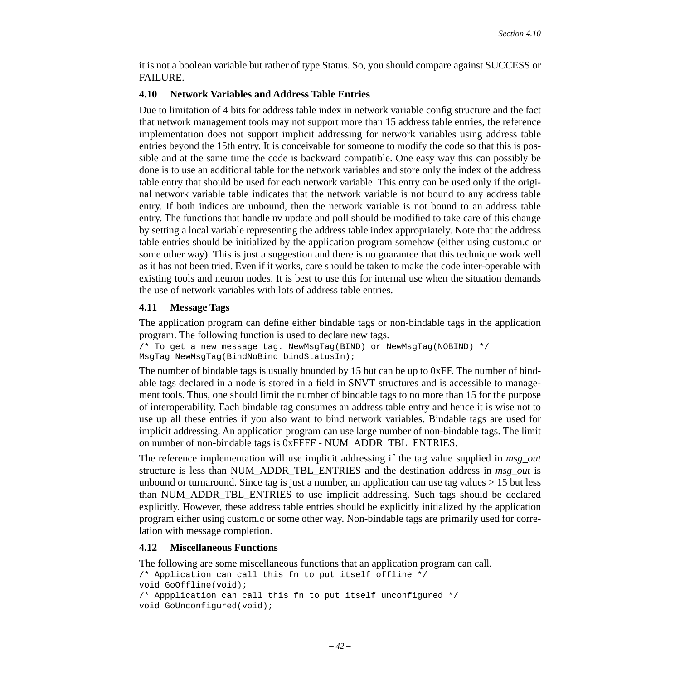it is not a boolean variable but rather of type Status. So, you should compare against SUCCESS or **FAILURE.** 

### <span id="page-41-1"></span>**4.10 Network Variables and Address Table Entries**

Due to limitation of 4 bits for address table index in network variable config structure and the fact that network management tools may not support more than 15 address table entries, the reference implementation does not support implicit addressing for network variables using address table entries beyond the 15th entry. It is conceivable for someone to modify the code so that this is possible and at the same time the code is backward compatible. One easy way this can possibly be done is to use an additional table for the network variables and store only the index of the address table entry that should be used for each network variable. This entry can be used only if the original network variable table indicates that the network variable is not bound to any address table entry. If both indices are unbound, then the network variable is not bound to an address table entry. The functions that handle nv update and poll should be modified to take care of this change by setting a local variable representing the address table index appropriately. Note that the address table entries should be initialized by the application program somehow (either using custom.c or some other way). This is just a suggestion and there is no guarantee that this technique work well as it has not been tried. Even if it works, care should be taken to make the code inter-operable with existing tools and neuron nodes. It is best to use this for internal use when the situation demands the use of network variables with lots of address table entries.

### <span id="page-41-2"></span>**4.11 Message Tags**

The application program can define either bindable tags or non-bindable tags in the application program. The following function is used to declare new tags.

```
/* To get a new message tag. NewMsgTag(BIND) or NewMsgTag(NOBIND) */
MsgTag NewMsgTag(BindNoBind bindStatusIn);
```
The number of bindable tags is usually bounded by 15 but can be up to 0xFF. The number of bindable tags declared in a node is stored in a field in SNVT structures and is accessible to management tools. Thus, one should limit the number of bindable tags to no more than 15 for the purpose of interoperability. Each bindable tag consumes an address table entry and hence it is wise not to use up all these entries if you also want to bind network variables. Bindable tags are used for implicit addressing. An application program can use large number of non-bindable tags. The limit on number of non-bindable tags is 0xFFFF - NUM\_ADDR\_TBL\_ENTRIES.

The reference implementation will use implicit addressing if the tag value supplied in *msg\_out* structure is less than NUM\_ADDR\_TBL\_ENTRIES and the destination address in *msg\_out* is unbound or turnaround. Since tag is just a number, an application can use tag values  $> 15$  but less than NUM\_ADDR\_TBL\_ENTRIES to use implicit addressing. Such tags should be declared explicitly. However, these address table entries should be explicitly initialized by the application program either using custom.c or some other way. Non-bindable tags are primarily used for correlation with message completion.

### <span id="page-41-0"></span>**4.12 Miscellaneous Functions**

The following are some miscellaneous functions that an application program can call.

```
/* Application can call this fn to put itself offline */
void GoOffline(void);
/* Appplication can call this fn to put itself unconfigured */
void GoUnconfigured(void);
```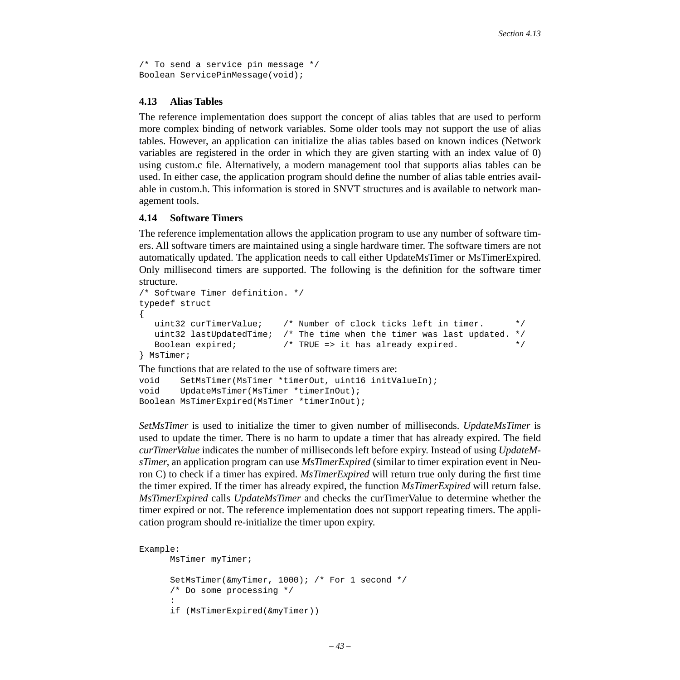```
/* To send a service pin message */
Boolean ServicePinMessage(void);
```
### <span id="page-42-1"></span>**4.13 Alias Tables**

The reference implementation does support the concept of alias tables that are used to perform more complex binding of network variables. Some older tools may not support the use of alias tables. However, an application can initialize the alias tables based on known indices (Network variables are registered in the order in which they are given starting with an index value of 0) using custom.c file. Alternatively, a modern management tool that supports alias tables can be used. In either case, the application program should define the number of alias table entries available in custom.h. This information is stored in SNVT structures and is available to network management tools.

### <span id="page-42-0"></span>**4.14 Software Timers**

The reference implementation allows the application program to use any number of software timers. All software timers are maintained using a single hardware timer. The software timers are not automatically updated. The application needs to call either UpdateMsTimer or MsTimerExpired. Only millisecond timers are supported. The following is the definition for the software timer structure.

```
/* Software Timer definition. */
typedef struct
{
    uint32 curTimerValue; /* Number of clock ticks left in timer. */
    uint32 lastUpdatedTime; /* The time when the timer was last updated. */
   Boolean expired; \overline{\hspace{1cm}} /* TRUE => it has already expired. \overline{\hspace{1cm}} */
} MsTimer;
The functions that are related to the use of software timers are:
void SetMsTimer(MsTimer *timerOut, uint16 initValueIn);
void UpdateMsTimer(MsTimer *timerInOut);
Boolean MsTimerExpired(MsTimer *timerInOut);
```
*SetMsTimer* is used to initialize the timer to given number of milliseconds. *UpdateMsTimer* is used to update the timer. There is no harm to update a timer that has already expired. The field *curTimerValue* indicates the number of milliseconds left before expiry. Instead of using *UpdateMsTimer*, an application program can use *MsTimerExpired* (similar to timer expiration event in Neuron C) to check if a timer has expired. *MsTimerExpired* will return true only during the first time the timer expired. If the timer has already expired, the function *MsTimerExpired* will return false. *MsTimerExpired* calls *UpdateMsTimer* and checks the curTimerValue to determine whether the timer expired or not. The reference implementation does not support repeating timers. The application program should re-initialize the timer upon expiry.

```
Example:
       MsTimer myTimer;
       SetMsTimer(&myTimer, 1000); /* For 1 second */
        /* Do some processing */
: 1999 (Particular)
       if (MsTimerExpired(&myTimer))
```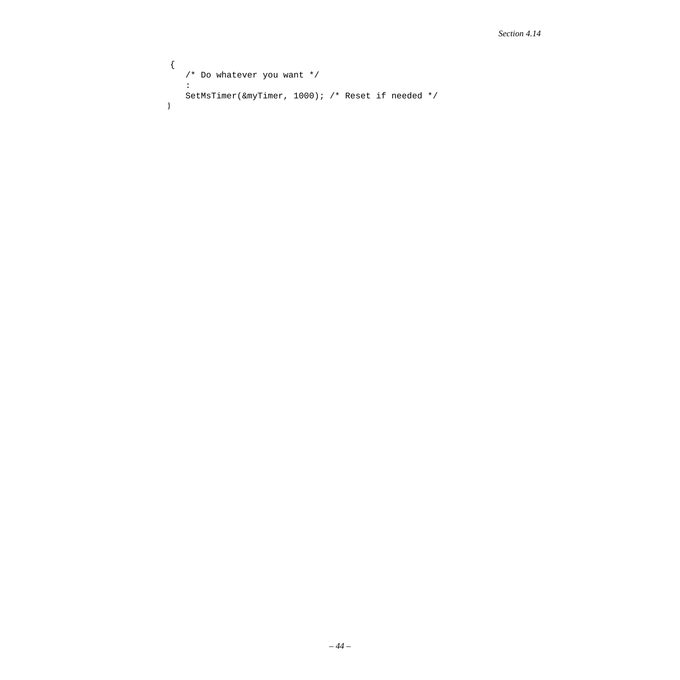```
 {
   /* Do whatever you want */
    :
   SetMsTimer(&myTimer, 1000); /* Reset if needed */
 }
```